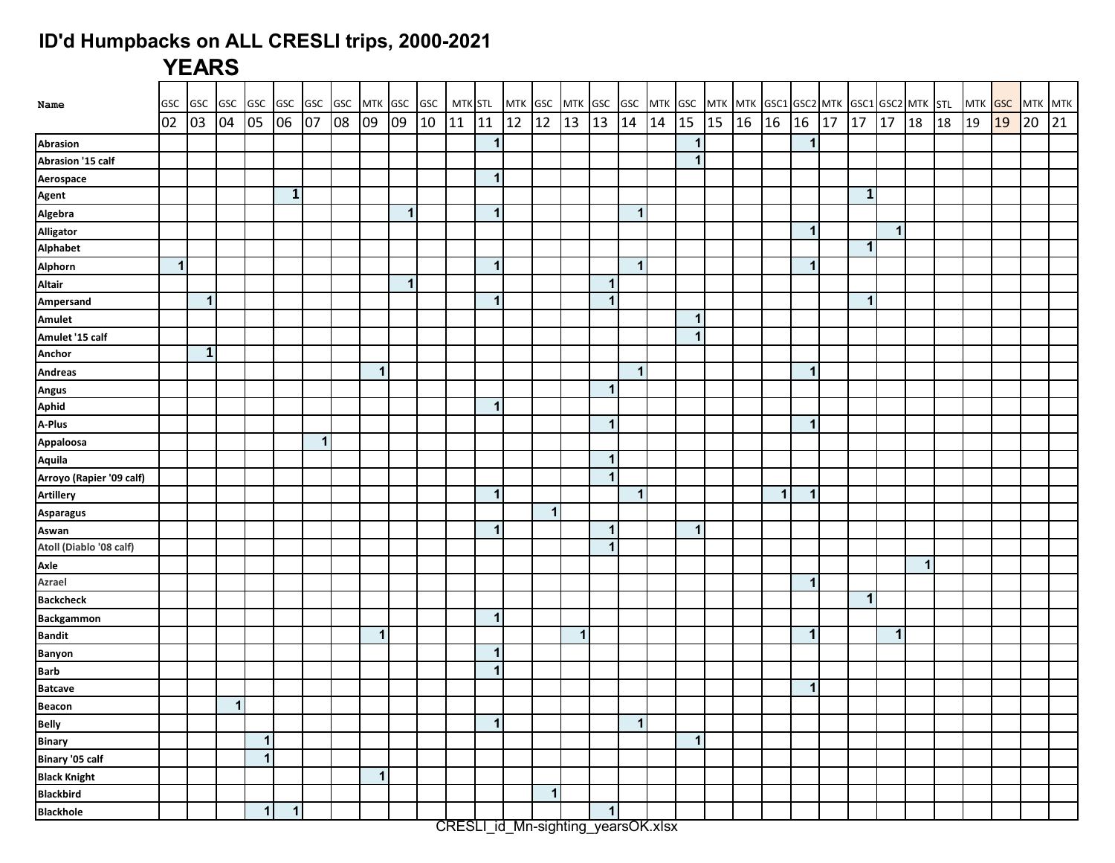## **ID'd Humpbacks on ALL CRESLI trips, 2000-2021**

## **YEARS**

| Name                     | GSC         | GSC GSC      |              | GSC GSC      |              | <b>GSC</b>              | GSC |                      | MTK GSC GSC |    | MTK STL |                          | MTK GSC MTK GSC |             |    |                      |              |    |              |    |    | GSC MTK GSC MTK MTK GSC1 GSC2 MTK GSC1 GSC2 MTK STL |                |    |              |              |              |    |    |    | MTK GSC MTK MTK |    |
|--------------------------|-------------|--------------|--------------|--------------|--------------|-------------------------|-----|----------------------|-------------|----|---------|--------------------------|-----------------|-------------|----|----------------------|--------------|----|--------------|----|----|-----------------------------------------------------|----------------|----|--------------|--------------|--------------|----|----|----|-----------------|----|
|                          | 02          | 03           | 04           | 05           | 06           | 07                      | 08  | 09                   | 09          | 10 | 11      | 11                       | 12              | 12          | 13 | 13                   | 14           | 14 | 15           | 15 | 16 | 16                                                  | 16             | 17 | 17           | 17           | 18           | 18 | 19 | 19 | 20              | 21 |
| Abrasion                 |             |              |              |              |              |                         |     |                      |             |    |         | $\mathbf{1}$             |                 |             |    |                      |              |    | $\mathbf{1}$ |    |    |                                                     | 1              |    |              |              |              |    |    |    |                 |    |
| Abrasion '15 calf        |             |              |              |              |              |                         |     |                      |             |    |         |                          |                 |             |    |                      |              |    | 1            |    |    |                                                     |                |    |              |              |              |    |    |    |                 |    |
| Aerospace                |             |              |              |              |              |                         |     |                      |             |    |         | $\mathbf{1}$             |                 |             |    |                      |              |    |              |    |    |                                                     |                |    |              |              |              |    |    |    |                 |    |
| Agent                    |             |              |              |              | $\mathbf{1}$ |                         |     |                      |             |    |         |                          |                 |             |    |                      |              |    |              |    |    |                                                     |                |    | $\mathbf{1}$ |              |              |    |    |    |                 |    |
| <b>Algebra</b>           |             |              |              |              |              |                         |     |                      | $\mathbf 1$ |    |         | $\mathbf{1}$             |                 |             |    |                      | $\vert$      |    |              |    |    |                                                     |                |    |              |              |              |    |    |    |                 |    |
| Alligator                |             |              |              |              |              |                         |     |                      |             |    |         |                          |                 |             |    |                      |              |    |              |    |    |                                                     | $\mathbf 1$    |    |              | $\mathbf{1}$ |              |    |    |    |                 |    |
| Alphabet                 |             |              |              |              |              |                         |     |                      |             |    |         |                          |                 |             |    |                      |              |    |              |    |    |                                                     |                |    | $\mathbf{1}$ |              |              |    |    |    |                 |    |
| Alphorn                  | $\mathbf 1$ |              |              |              |              |                         |     |                      |             |    |         | $\mathbf{1}$             |                 |             |    |                      | $\mathbf{1}$ |    |              |    |    |                                                     | -1             |    |              |              |              |    |    |    |                 |    |
| <b>Altair</b>            |             |              |              |              |              |                         |     |                      | 1           |    |         |                          |                 |             |    | $\blacktriangleleft$ |              |    |              |    |    |                                                     |                |    |              |              |              |    |    |    |                 |    |
| Ampersand                |             | 1            |              |              |              |                         |     |                      |             |    |         | $\mathbf{1}$             |                 |             |    | $\blacktriangleleft$ |              |    |              |    |    |                                                     |                |    | -1           |              |              |    |    |    |                 |    |
| <b>Amulet</b>            |             |              |              |              |              |                         |     |                      |             |    |         |                          |                 |             |    |                      |              |    | 1            |    |    |                                                     |                |    |              |              |              |    |    |    |                 |    |
| Amulet '15 calf          |             |              |              |              |              |                         |     |                      |             |    |         |                          |                 |             |    |                      |              |    | 1            |    |    |                                                     |                |    |              |              |              |    |    |    |                 |    |
| <b>Anchor</b>            |             | $\mathbf{1}$ |              |              |              |                         |     |                      |             |    |         |                          |                 |             |    |                      |              |    |              |    |    |                                                     |                |    |              |              |              |    |    |    |                 |    |
| <b>Andreas</b>           |             |              |              |              |              |                         |     | $\blacktriangleleft$ |             |    |         |                          |                 |             |    |                      | $\vert$ 1    |    |              |    |    |                                                     | $\mathbf 1$    |    |              |              |              |    |    |    |                 |    |
| <b>Angus</b>             |             |              |              |              |              |                         |     |                      |             |    |         |                          |                 |             |    | $\blacktriangleleft$ |              |    |              |    |    |                                                     |                |    |              |              |              |    |    |    |                 |    |
| Aphid                    |             |              |              |              |              |                         |     |                      |             |    |         | $\mathbf{1}$             |                 |             |    |                      |              |    |              |    |    |                                                     |                |    |              |              |              |    |    |    |                 |    |
| A-Plus                   |             |              |              |              |              |                         |     |                      |             |    |         |                          |                 |             |    | $\mathbf{1}$         |              |    |              |    |    |                                                     | $\overline{1}$ |    |              |              |              |    |    |    |                 |    |
| Appaloosa                |             |              |              |              |              | $\overline{\mathbf{1}}$ |     |                      |             |    |         |                          |                 |             |    |                      |              |    |              |    |    |                                                     |                |    |              |              |              |    |    |    |                 |    |
| Aquila                   |             |              |              |              |              |                         |     |                      |             |    |         |                          |                 |             |    | $\mathbf{1}$         |              |    |              |    |    |                                                     |                |    |              |              |              |    |    |    |                 |    |
| Arroyo (Rapier '09 calf) |             |              |              |              |              |                         |     |                      |             |    |         |                          |                 |             |    | $\mathbf{1}$         |              |    |              |    |    |                                                     |                |    |              |              |              |    |    |    |                 |    |
| <b>Artillery</b>         |             |              |              |              |              |                         |     |                      |             |    |         | $\mathbf{1}$             |                 |             |    |                      | $\mathbf{1}$ |    |              |    |    | $\mathbf 1$                                         | -1             |    |              |              |              |    |    |    |                 |    |
| <b>Asparagus</b>         |             |              |              |              |              |                         |     |                      |             |    |         |                          |                 | $\mathbf 1$ |    |                      |              |    |              |    |    |                                                     |                |    |              |              |              |    |    |    |                 |    |
| Aswan                    |             |              |              |              |              |                         |     |                      |             |    |         | $\mathbf{1}$             |                 |             |    | $\mathbf{1}$         |              |    | 1            |    |    |                                                     |                |    |              |              |              |    |    |    |                 |    |
| Atoll (Diablo '08 calf)  |             |              |              |              |              |                         |     |                      |             |    |         |                          |                 |             |    | $\blacktriangleleft$ |              |    |              |    |    |                                                     |                |    |              |              |              |    |    |    |                 |    |
| Axle                     |             |              |              |              |              |                         |     |                      |             |    |         |                          |                 |             |    |                      |              |    |              |    |    |                                                     |                |    |              |              | $\mathbf{1}$ |    |    |    |                 |    |
| <b>Azrael</b>            |             |              |              |              |              |                         |     |                      |             |    |         |                          |                 |             |    |                      |              |    |              |    |    |                                                     | -1             |    |              |              |              |    |    |    |                 |    |
| <b>Backcheck</b>         |             |              |              |              |              |                         |     |                      |             |    |         |                          |                 |             |    |                      |              |    |              |    |    |                                                     |                |    | $\mathbf 1$  |              |              |    |    |    |                 |    |
| <b>Backgammon</b>        |             |              |              |              |              |                         |     |                      |             |    |         | $\mathbf{1}$             |                 |             |    |                      |              |    |              |    |    |                                                     |                |    |              |              |              |    |    |    |                 |    |
| <b>Bandit</b>            |             |              |              |              |              |                         |     | $\blacktriangleleft$ |             |    |         |                          |                 |             | 1  |                      |              |    |              |    |    |                                                     | $\mathbf 1$    |    |              | $\mathbf 1$  |              |    |    |    |                 |    |
| <b>Banyon</b>            |             |              |              |              |              |                         |     |                      |             |    |         | $\mathbf{1}$             |                 |             |    |                      |              |    |              |    |    |                                                     |                |    |              |              |              |    |    |    |                 |    |
| <b>Barb</b>              |             |              |              |              |              |                         |     |                      |             |    |         | $\mathbf{1}$             |                 |             |    |                      |              |    |              |    |    |                                                     |                |    |              |              |              |    |    |    |                 |    |
| <b>Batcave</b>           |             |              |              |              |              |                         |     |                      |             |    |         |                          |                 |             |    |                      |              |    |              |    |    |                                                     | 1              |    |              |              |              |    |    |    |                 |    |
| <b>Beacon</b>            |             |              | $\mathbf{1}$ |              |              |                         |     |                      |             |    |         |                          |                 |             |    |                      |              |    |              |    |    |                                                     |                |    |              |              |              |    |    |    |                 |    |
| <b>Belly</b>             |             |              |              |              |              |                         |     |                      |             |    |         | $\mathbf 1$              |                 |             |    |                      | $\mathbf{1}$ |    |              |    |    |                                                     |                |    |              |              |              |    |    |    |                 |    |
| <b>Binary</b>            |             |              |              | $\mathbf{1}$ |              |                         |     |                      |             |    |         |                          |                 |             |    |                      |              |    | $\mathbf 1$  |    |    |                                                     |                |    |              |              |              |    |    |    |                 |    |
| Binary '05 calf          |             |              |              | $\mathbf{1}$ |              |                         |     |                      |             |    |         |                          |                 |             |    |                      |              |    |              |    |    |                                                     |                |    |              |              |              |    |    |    |                 |    |
| <b>Black Knight</b>      |             |              |              |              |              |                         |     | $\mathbf{1}$         |             |    |         |                          |                 |             |    |                      |              |    |              |    |    |                                                     |                |    |              |              |              |    |    |    |                 |    |
| <b>Blackbird</b>         |             |              |              |              |              |                         |     |                      |             |    |         |                          |                 | $\mathbf 1$ |    |                      |              |    |              |    |    |                                                     |                |    |              |              |              |    |    |    |                 |    |
| <b>Blackhole</b>         |             |              |              | $\mathbf{1}$ | $\mathbf{1}$ |                         |     |                      |             |    |         | $\overline{\phantom{1}}$ |                 |             |    | $\mathbf{1}$         |              |    |              |    |    |                                                     |                |    |              |              |              |    |    |    |                 |    |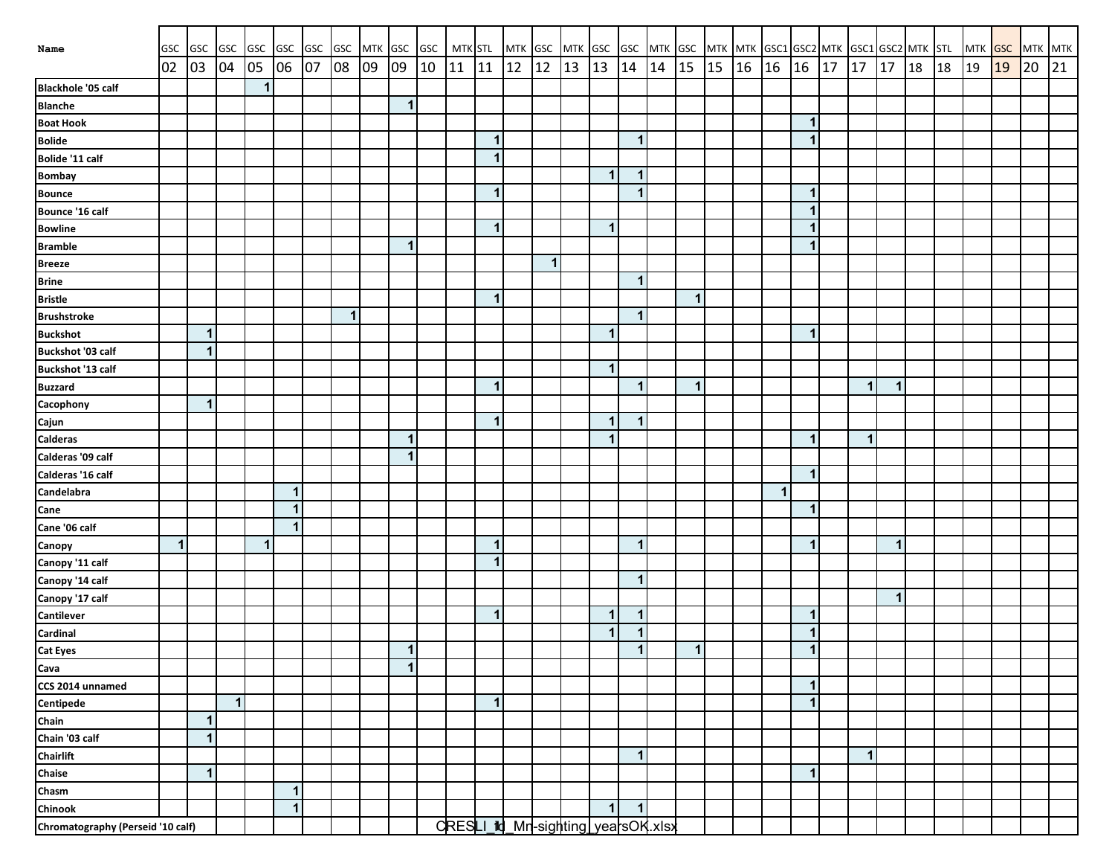| Name                              | GSC          | GSC GSC      |    | <b>GSC</b>   | GSC          | GSC | <b>GSC</b> |    |                      | MTK GSC GSC | MTK STL |              | MTK GSC MTK GSC |             |    |                                    |              |    | GSC MTK GSC MTK MTK GSC1 GSC2 MTK GSC1 GSC2 MTK STL |    |              |                      |    |    |              |    |    | MTK GSC |    | MTK MTK |    |
|-----------------------------------|--------------|--------------|----|--------------|--------------|-----|------------|----|----------------------|-------------|---------|--------------|-----------------|-------------|----|------------------------------------|--------------|----|-----------------------------------------------------|----|--------------|----------------------|----|----|--------------|----|----|---------|----|---------|----|
|                                   | 02           | 03           | 04 | 05           | 06           | 07  | 08         | 09 | 09                   | 10          | 11      | 11           | 12              | 12          | 13 | 13                                 | 14           | 14 | 15                                                  | 15 | 16 16        | 16                   | 17 | 17 | 17           | 18 | 18 | 19      | 19 | 20      | 21 |
| <b>Blackhole '05 calf</b>         |              |              |    | $\mathbf{1}$ |              |     |            |    |                      |             |         |              |                 |             |    |                                    |              |    |                                                     |    |              |                      |    |    |              |    |    |         |    |         |    |
| <b>Blanche</b>                    |              |              |    |              |              |     |            |    | $\mathbf 1$          |             |         |              |                 |             |    |                                    |              |    |                                                     |    |              |                      |    |    |              |    |    |         |    |         |    |
| <b>Boat Hook</b>                  |              |              |    |              |              |     |            |    |                      |             |         |              |                 |             |    |                                    |              |    |                                                     |    |              | $\mathbf 1$          |    |    |              |    |    |         |    |         |    |
| <b>Bolide</b>                     |              |              |    |              |              |     |            |    |                      |             |         | $\mathbf 1$  |                 |             |    |                                    | $\mathbf{1}$ |    |                                                     |    |              | $\mathbf{1}$         |    |    |              |    |    |         |    |         |    |
| Bolide '11 calf                   |              |              |    |              |              |     |            |    |                      |             |         | $\mathbf{1}$ |                 |             |    |                                    |              |    |                                                     |    |              |                      |    |    |              |    |    |         |    |         |    |
| <b>Bombay</b>                     |              |              |    |              |              |     |            |    |                      |             |         |              |                 |             |    | $\mathbf 1$                        | $\mathbf{1}$ |    |                                                     |    |              |                      |    |    |              |    |    |         |    |         |    |
| <b>Bounce</b>                     |              |              |    |              |              |     |            |    |                      |             |         | $\mathbf{1}$ |                 |             |    |                                    | $\mathbf{1}$ |    |                                                     |    |              | $\mathbf 1$          |    |    |              |    |    |         |    |         |    |
| Bounce '16 calf                   |              |              |    |              |              |     |            |    |                      |             |         |              |                 |             |    |                                    |              |    |                                                     |    |              | $\mathbf 1$          |    |    |              |    |    |         |    |         |    |
| <b>Bowline</b>                    |              |              |    |              |              |     |            |    |                      |             |         | $\mathbf 1$  |                 |             |    | 1                                  |              |    |                                                     |    |              |                      |    |    |              |    |    |         |    |         |    |
| <b>Bramble</b>                    |              |              |    |              |              |     |            |    | 1                    |             |         |              |                 |             |    |                                    |              |    |                                                     |    |              |                      |    |    |              |    |    |         |    |         |    |
| <b>Breeze</b>                     |              |              |    |              |              |     |            |    |                      |             |         |              |                 | $\mathbf 1$ |    |                                    |              |    |                                                     |    |              |                      |    |    |              |    |    |         |    |         |    |
| <b>Brine</b>                      |              |              |    |              |              |     |            |    |                      |             |         |              |                 |             |    |                                    | $\mathbf 1$  |    |                                                     |    |              |                      |    |    |              |    |    |         |    |         |    |
| <b>Bristle</b>                    |              |              |    |              |              |     |            |    |                      |             |         | $\mathbf{1}$ |                 |             |    |                                    |              |    | $\mathbf{1}$                                        |    |              |                      |    |    |              |    |    |         |    |         |    |
| <b>Brushstroke</b>                |              |              |    |              |              |     | 1          |    |                      |             |         |              |                 |             |    |                                    | $\mathbf{1}$ |    |                                                     |    |              |                      |    |    |              |    |    |         |    |         |    |
| <b>Buckshot</b>                   |              | $\mathbf{1}$ |    |              |              |     |            |    |                      |             |         |              |                 |             |    | 1                                  |              |    |                                                     |    |              | -1                   |    |    |              |    |    |         |    |         |    |
| Buckshot '03 calf                 |              | $\mathbf{1}$ |    |              |              |     |            |    |                      |             |         |              |                 |             |    |                                    |              |    |                                                     |    |              |                      |    |    |              |    |    |         |    |         |    |
| Buckshot '13 calf                 |              |              |    |              |              |     |            |    |                      |             |         |              |                 |             |    | $\overline{\mathbf{1}}$            |              |    |                                                     |    |              |                      |    |    |              |    |    |         |    |         |    |
| <b>Buzzard</b>                    |              |              |    |              |              |     |            |    |                      |             |         | $\mathbf{1}$ |                 |             |    |                                    | $\mathbf{1}$ |    | $\mathbf{1}$                                        |    |              |                      |    | 1  | $\mathbf{1}$ |    |    |         |    |         |    |
| Cacophony                         |              | $\mathbf{1}$ |    |              |              |     |            |    |                      |             |         |              |                 |             |    |                                    |              |    |                                                     |    |              |                      |    |    |              |    |    |         |    |         |    |
| Cajun                             |              |              |    |              |              |     |            |    |                      |             |         | $\mathbf{1}$ |                 |             |    | $\mathbf{1}$                       | $\mathbf 1$  |    |                                                     |    |              |                      |    |    |              |    |    |         |    |         |    |
| <b>Calderas</b>                   |              |              |    |              |              |     |            |    | -1                   |             |         |              |                 |             |    | 1                                  |              |    |                                                     |    |              | -1                   |    | 1  |              |    |    |         |    |         |    |
| Calderas '09 calf                 |              |              |    |              |              |     |            |    | -1                   |             |         |              |                 |             |    |                                    |              |    |                                                     |    |              |                      |    |    |              |    |    |         |    |         |    |
| Calderas '16 calf                 |              |              |    |              |              |     |            |    |                      |             |         |              |                 |             |    |                                    |              |    |                                                     |    |              | 1                    |    |    |              |    |    |         |    |         |    |
| Candelabra                        |              |              |    |              | $\mathbf 1$  |     |            |    |                      |             |         |              |                 |             |    |                                    |              |    |                                                     |    | $\mathbf{1}$ |                      |    |    |              |    |    |         |    |         |    |
| Cane                              |              |              |    |              | $\mathbf 1$  |     |            |    |                      |             |         |              |                 |             |    |                                    |              |    |                                                     |    |              | $\mathbf 1$          |    |    |              |    |    |         |    |         |    |
| Cane '06 calf                     |              |              |    |              | $\mathbf{1}$ |     |            |    |                      |             |         |              |                 |             |    |                                    |              |    |                                                     |    |              |                      |    |    |              |    |    |         |    |         |    |
| Canopy                            | $\mathbf{1}$ |              |    | $\mathbf{1}$ |              |     |            |    |                      |             |         | $\mathbf 1$  |                 |             |    |                                    | $\mathbf 1$  |    |                                                     |    |              | -1                   |    |    | $\mathbf 1$  |    |    |         |    |         |    |
| Canopy '11 calf                   |              |              |    |              |              |     |            |    |                      |             |         | $\mathbf{1}$ |                 |             |    |                                    |              |    |                                                     |    |              |                      |    |    |              |    |    |         |    |         |    |
| Canopy '14 calf                   |              |              |    |              |              |     |            |    |                      |             |         |              |                 |             |    |                                    | $\mathbf{1}$ |    |                                                     |    |              |                      |    |    |              |    |    |         |    |         |    |
| Canopy '17 calf                   |              |              |    |              |              |     |            |    |                      |             |         |              |                 |             |    |                                    |              |    |                                                     |    |              |                      |    |    | $\mathbf{1}$ |    |    |         |    |         |    |
| Cantilever                        |              |              |    |              |              |     |            |    |                      |             |         | $\mathbf{1}$ |                 |             |    | $\mathbf{1}$                       | $\mathbf 1$  |    |                                                     |    |              | $\mathbf 1$          |    |    |              |    |    |         |    |         |    |
| Cardinal                          |              |              |    |              |              |     |            |    |                      |             |         |              |                 |             |    | $\overline{\mathbf{1}}$            | $\mathbf{1}$ |    |                                                     |    |              | $\mathbf 1$          |    |    |              |    |    |         |    |         |    |
| <b>Cat Eyes</b>                   |              |              |    |              |              |     |            |    | $\overline{1}$       |             |         |              |                 |             |    |                                    | $\mathbf{1}$ |    | $\mathbf{1}$                                        |    |              | $\blacktriangleleft$ |    |    |              |    |    |         |    |         |    |
| Cava                              |              |              |    |              |              |     |            |    | $\blacktriangleleft$ |             |         |              |                 |             |    |                                    |              |    |                                                     |    |              |                      |    |    |              |    |    |         |    |         |    |
| CCS 2014 unnamed                  |              |              |    |              |              |     |            |    |                      |             |         |              |                 |             |    |                                    |              |    |                                                     |    |              | $\mathbf 1$          |    |    |              |    |    |         |    |         |    |
| <b>Centipede</b>                  |              |              | 1  |              |              |     |            |    |                      |             |         | $\mathbf{1}$ |                 |             |    |                                    |              |    |                                                     |    |              | 1                    |    |    |              |    |    |         |    |         |    |
| Chain                             |              | $\mathbf{1}$ |    |              |              |     |            |    |                      |             |         |              |                 |             |    |                                    |              |    |                                                     |    |              |                      |    |    |              |    |    |         |    |         |    |
| Chain '03 calf                    |              | $\mathbf 1$  |    |              |              |     |            |    |                      |             |         |              |                 |             |    |                                    |              |    |                                                     |    |              |                      |    |    |              |    |    |         |    |         |    |
| Chairlift                         |              |              |    |              |              |     |            |    |                      |             |         |              |                 |             |    |                                    | $\mathbf{1}$ |    |                                                     |    |              |                      |    | 1  |              |    |    |         |    |         |    |
| Chaise                            |              | $\mathbf{1}$ |    |              |              |     |            |    |                      |             |         |              |                 |             |    |                                    |              |    |                                                     |    |              | $\mathbf 1$          |    |    |              |    |    |         |    |         |    |
| Chasm                             |              |              |    |              | $\mathbf 1$  |     |            |    |                      |             |         |              |                 |             |    |                                    |              |    |                                                     |    |              |                      |    |    |              |    |    |         |    |         |    |
| Chinook                           |              |              |    |              | $\mathbf{1}$ |     |            |    |                      |             |         |              |                 |             |    | $\mathbf{1}$                       | $\mathbf 1$  |    |                                                     |    |              |                      |    |    |              |    |    |         |    |         |    |
| Chromatography (Perseid '10 calf) |              |              |    |              |              |     |            |    |                      |             |         |              |                 |             |    | CRESLI_id_Mr-sighting yearsOK.xlsx |              |    |                                                     |    |              |                      |    |    |              |    |    |         |    |         |    |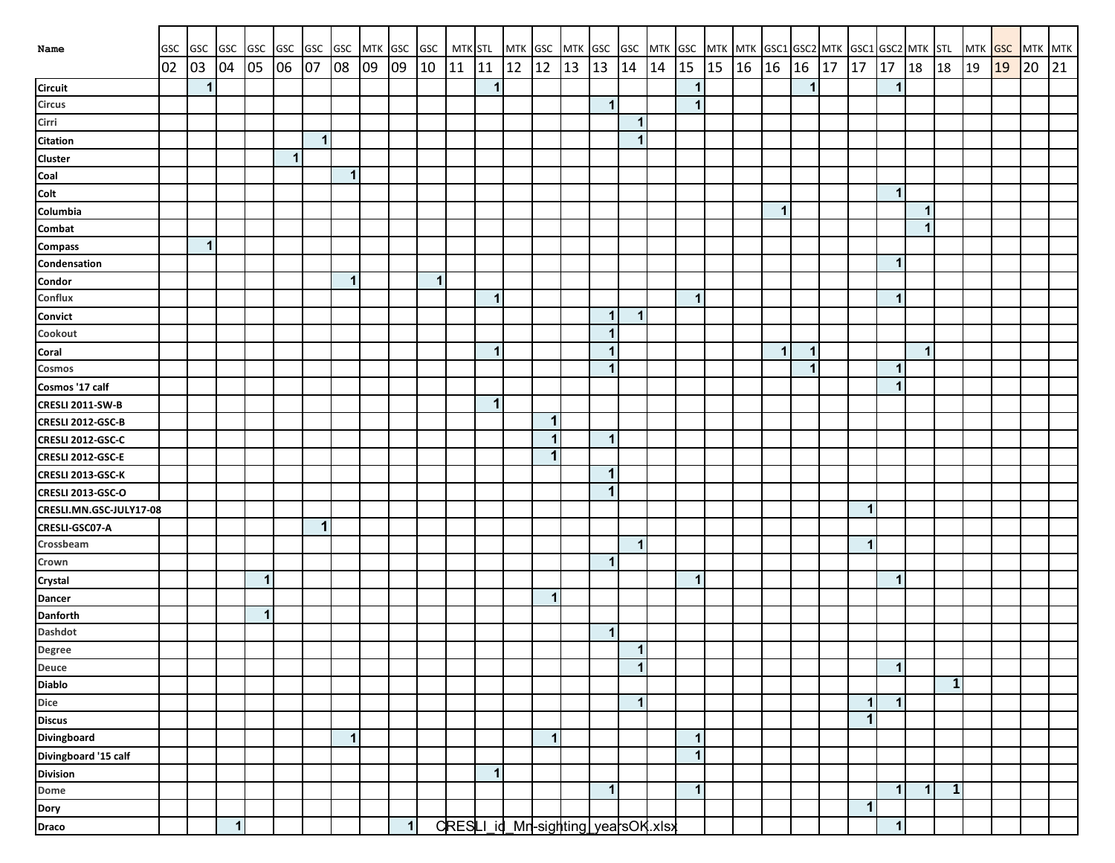| Name                                     | GSC | GSC GSC      |              | <b>GSC</b>   | <b>GSC</b>   | <b>GSC</b>   | <b>GSC</b>     | <b>MTK</b> | GSC | GSC          | <b>MTK STL</b> |              | MTK GSC                            |                      | MTK GSC |                         |                      |    |              |    |       | GSC MTK GSC MTK MTK GSC1 GSC2 MTK GSC1 GSC2 MTK STL |             |    |              |                      |              |              | <b>MTK</b> | <b>GSC</b> | MTK MTK |    |
|------------------------------------------|-----|--------------|--------------|--------------|--------------|--------------|----------------|------------|-----|--------------|----------------|--------------|------------------------------------|----------------------|---------|-------------------------|----------------------|----|--------------|----|-------|-----------------------------------------------------|-------------|----|--------------|----------------------|--------------|--------------|------------|------------|---------|----|
|                                          | 02  | 03           | 04           | 05           | 06           | 07           | 08             | 09         | 09  | 10           | 11             | 11           | 12                                 | 12                   | 13      | 13                      | 14                   | 14 | 15           | 15 | 16 16 |                                                     | 16          | 17 | 17           | 17                   | 18           | 18           | 19         | 19         | 20      | 21 |
| <b>Circuit</b>                           |     | $\mathbf{1}$ |              |              |              |              |                |            |     |              |                | $\mathbf 1$  |                                    |                      |         |                         |                      |    | $\mathbf{1}$ |    |       |                                                     | $\mathbf 1$ |    |              | $\blacktriangleleft$ |              |              |            |            |         |    |
| <b>Circus</b>                            |     |              |              |              |              |              |                |            |     |              |                |              |                                    |                      |         | $\overline{\mathbf{1}}$ |                      |    | $\mathbf{1}$ |    |       |                                                     |             |    |              |                      |              |              |            |            |         |    |
| Cirri                                    |     |              |              |              |              |              |                |            |     |              |                |              |                                    |                      |         |                         | $\mathbf 1$          |    |              |    |       |                                                     |             |    |              |                      |              |              |            |            |         |    |
| <b>Citation</b>                          |     |              |              |              |              | $\mathbf{1}$ |                |            |     |              |                |              |                                    |                      |         |                         | $\mathbf{1}$         |    |              |    |       |                                                     |             |    |              |                      |              |              |            |            |         |    |
| <b>Cluster</b>                           |     |              |              |              | $\mathbf{1}$ |              |                |            |     |              |                |              |                                    |                      |         |                         |                      |    |              |    |       |                                                     |             |    |              |                      |              |              |            |            |         |    |
| Coal                                     |     |              |              |              |              |              | $\mathbf{1}$   |            |     |              |                |              |                                    |                      |         |                         |                      |    |              |    |       |                                                     |             |    |              |                      |              |              |            |            |         |    |
| Colt                                     |     |              |              |              |              |              |                |            |     |              |                |              |                                    |                      |         |                         |                      |    |              |    |       |                                                     |             |    |              | $\blacktriangleleft$ |              |              |            |            |         |    |
| Columbia                                 |     |              |              |              |              |              |                |            |     |              |                |              |                                    |                      |         |                         |                      |    |              |    |       | $\mathbf{1}$                                        |             |    |              |                      | 1            |              |            |            |         |    |
| Combat                                   |     |              |              |              |              |              |                |            |     |              |                |              |                                    |                      |         |                         |                      |    |              |    |       |                                                     |             |    |              |                      | 1            |              |            |            |         |    |
| <b>Compass</b>                           |     | $\mathbf{1}$ |              |              |              |              |                |            |     |              |                |              |                                    |                      |         |                         |                      |    |              |    |       |                                                     |             |    |              |                      |              |              |            |            |         |    |
| Condensation                             |     |              |              |              |              |              |                |            |     |              |                |              |                                    |                      |         |                         |                      |    |              |    |       |                                                     |             |    |              | $\mathbf 1$          |              |              |            |            |         |    |
| Condor                                   |     |              |              |              |              |              | 1              |            |     | $\mathbf{1}$ |                |              |                                    |                      |         |                         |                      |    |              |    |       |                                                     |             |    |              |                      |              |              |            |            |         |    |
| Conflux                                  |     |              |              |              |              |              |                |            |     |              |                | $\mathbf{1}$ |                                    |                      |         |                         |                      |    | $\mathbf{1}$ |    |       |                                                     |             |    |              | $\blacktriangleleft$ |              |              |            |            |         |    |
| Convict                                  |     |              |              |              |              |              |                |            |     |              |                |              |                                    |                      |         | 1                       | $\mathbf 1$          |    |              |    |       |                                                     |             |    |              |                      |              |              |            |            |         |    |
| Cookout                                  |     |              |              |              |              |              |                |            |     |              |                |              |                                    |                      |         | 1                       |                      |    |              |    |       |                                                     |             |    |              |                      |              |              |            |            |         |    |
| Coral                                    |     |              |              |              |              |              |                |            |     |              |                | $\mathbf 1$  |                                    |                      |         | $\overline{\mathbf{1}}$ |                      |    |              |    |       | $\mathbf{1}$                                        | $\mathbf 1$ |    |              |                      | $\mathbf{1}$ |              |            |            |         |    |
| Cosmos                                   |     |              |              |              |              |              |                |            |     |              |                |              |                                    |                      |         | $\mathbf{1}$            |                      |    |              |    |       |                                                     | 1           |    |              | $\blacktriangleleft$ |              |              |            |            |         |    |
| Cosmos '17 calf                          |     |              |              |              |              |              |                |            |     |              |                |              |                                    |                      |         |                         |                      |    |              |    |       |                                                     |             |    |              | $\blacktriangleleft$ |              |              |            |            |         |    |
| CRESLI 2011-SW-B                         |     |              |              |              |              |              |                |            |     |              |                | $\mathbf 1$  |                                    |                      |         |                         |                      |    |              |    |       |                                                     |             |    |              |                      |              |              |            |            |         |    |
| CRESLI 2012-GSC-B                        |     |              |              |              |              |              |                |            |     |              |                |              |                                    | $\mathbf 1$          |         |                         |                      |    |              |    |       |                                                     |             |    |              |                      |              |              |            |            |         |    |
| CRESLI 2012-GSC-C                        |     |              |              |              |              |              |                |            |     |              |                |              |                                    | $\blacktriangleleft$ |         | $\mathbf{1}$            |                      |    |              |    |       |                                                     |             |    |              |                      |              |              |            |            |         |    |
| CRESLI 2012-GSC-E                        |     |              |              |              |              |              |                |            |     |              |                |              |                                    | $\mathbf 1$          |         |                         |                      |    |              |    |       |                                                     |             |    |              |                      |              |              |            |            |         |    |
| CRESLI 2013-GSC-K                        |     |              |              |              |              |              |                |            |     |              |                |              |                                    |                      |         | 1                       |                      |    |              |    |       |                                                     |             |    |              |                      |              |              |            |            |         |    |
| CRESLI 2013-GSC-O                        |     |              |              |              |              |              |                |            |     |              |                |              |                                    |                      |         | 1                       |                      |    |              |    |       |                                                     |             |    |              |                      |              |              |            |            |         |    |
| CRESLI.MN.GSC-JULY17-08                  |     |              |              |              |              |              |                |            |     |              |                |              |                                    |                      |         |                         |                      |    |              |    |       |                                                     |             |    | 1            |                      |              |              |            |            |         |    |
| CRESLI-GSC07-A                           |     |              |              |              |              | $\mathbf 1$  |                |            |     |              |                |              |                                    |                      |         |                         |                      |    |              |    |       |                                                     |             |    |              |                      |              |              |            |            |         |    |
| Crossbeam                                |     |              |              |              |              |              |                |            |     |              |                |              |                                    |                      |         |                         | $\blacktriangleleft$ |    |              |    |       |                                                     |             |    | -1           |                      |              |              |            |            |         |    |
| Crown                                    |     |              |              |              |              |              |                |            |     |              |                |              |                                    |                      |         | 1                       |                      |    |              |    |       |                                                     |             |    |              |                      |              |              |            |            |         |    |
| Crystal                                  |     |              |              | $\mathbf{1}$ |              |              |                |            |     |              |                |              |                                    |                      |         |                         |                      |    | $\mathbf{1}$ |    |       |                                                     |             |    |              | $\blacktriangleleft$ |              |              |            |            |         |    |
| Dancer                                   |     |              |              |              |              |              |                |            |     |              |                |              |                                    | $\overline{1}$       |         |                         |                      |    |              |    |       |                                                     |             |    |              |                      |              |              |            |            |         |    |
| <b>Danforth</b>                          |     |              |              | $\mathbf{1}$ |              |              |                |            |     |              |                |              |                                    |                      |         |                         |                      |    |              |    |       |                                                     |             |    |              |                      |              |              |            |            |         |    |
| Dashdot                                  |     |              |              |              |              |              |                |            |     |              |                |              |                                    |                      |         | $\overline{\mathbf{1}}$ |                      |    |              |    |       |                                                     |             |    |              |                      |              |              |            |            |         |    |
| Degree                                   |     |              |              |              |              |              |                |            |     |              |                |              |                                    |                      |         |                         | $\mathbf{1}$         |    |              |    |       |                                                     |             |    |              |                      |              |              |            |            |         |    |
| Deuce                                    |     |              |              |              |              |              |                |            |     |              |                |              |                                    |                      |         |                         | $\mathbf{1}$         |    |              |    |       |                                                     |             |    |              | $\mathbf{1}$         |              |              |            |            |         |    |
| <b>Diablo</b>                            |     |              |              |              |              |              |                |            |     |              |                |              |                                    |                      |         |                         |                      |    |              |    |       |                                                     |             |    |              |                      |              | $\mathbf{1}$ |            |            |         |    |
|                                          |     |              |              |              |              |              |                |            |     |              |                |              |                                    |                      |         |                         | $\mathbf{1}$         |    |              |    |       |                                                     |             |    | 1            | $\mathbf{1}$         |              |              |            |            |         |    |
| Dice<br>Discus                           |     |              |              |              |              |              |                |            |     |              |                |              |                                    |                      |         |                         |                      |    |              |    |       |                                                     |             |    | 1            |                      |              |              |            |            |         |    |
| Divingboard                              |     |              |              |              |              |              | $\overline{1}$ |            |     |              |                |              |                                    | $\mathbf{1}$         |         |                         |                      |    | $\mathbf{1}$ |    |       |                                                     |             |    |              |                      |              |              |            |            |         |    |
|                                          |     |              |              |              |              |              |                |            |     |              |                |              |                                    |                      |         |                         |                      |    | $\mathbf{1}$ |    |       |                                                     |             |    |              |                      |              |              |            |            |         |    |
| Divingboard '15 calf<br>Division<br>Dome |     |              |              |              |              |              |                |            |     |              |                | $\mathbf{1}$ |                                    |                      |         |                         |                      |    |              |    |       |                                                     |             |    |              |                      |              |              |            |            |         |    |
|                                          |     |              |              |              |              |              |                |            |     |              |                |              |                                    |                      |         | $\mathbf{1}$            |                      |    | $\mathbf{1}$ |    |       |                                                     |             |    |              | $\mathbf{1}$         | $\mathbf 1$  | $\mathbf{1}$ |            |            |         |    |
| Dory<br>Draco                            |     |              |              |              |              |              |                |            |     |              |                |              |                                    |                      |         |                         |                      |    |              |    |       |                                                     |             |    | $\mathbf{1}$ |                      |              |              |            |            |         |    |
|                                          |     |              | $\mathbf{1}$ |              |              |              |                |            | 1   |              |                |              | CRESLI_id_Mn-sighting yearsOK.xlsx |                      |         |                         |                      |    |              |    |       |                                                     |             |    |              | $\mathbf{1}$         |              |              |            |            |         |    |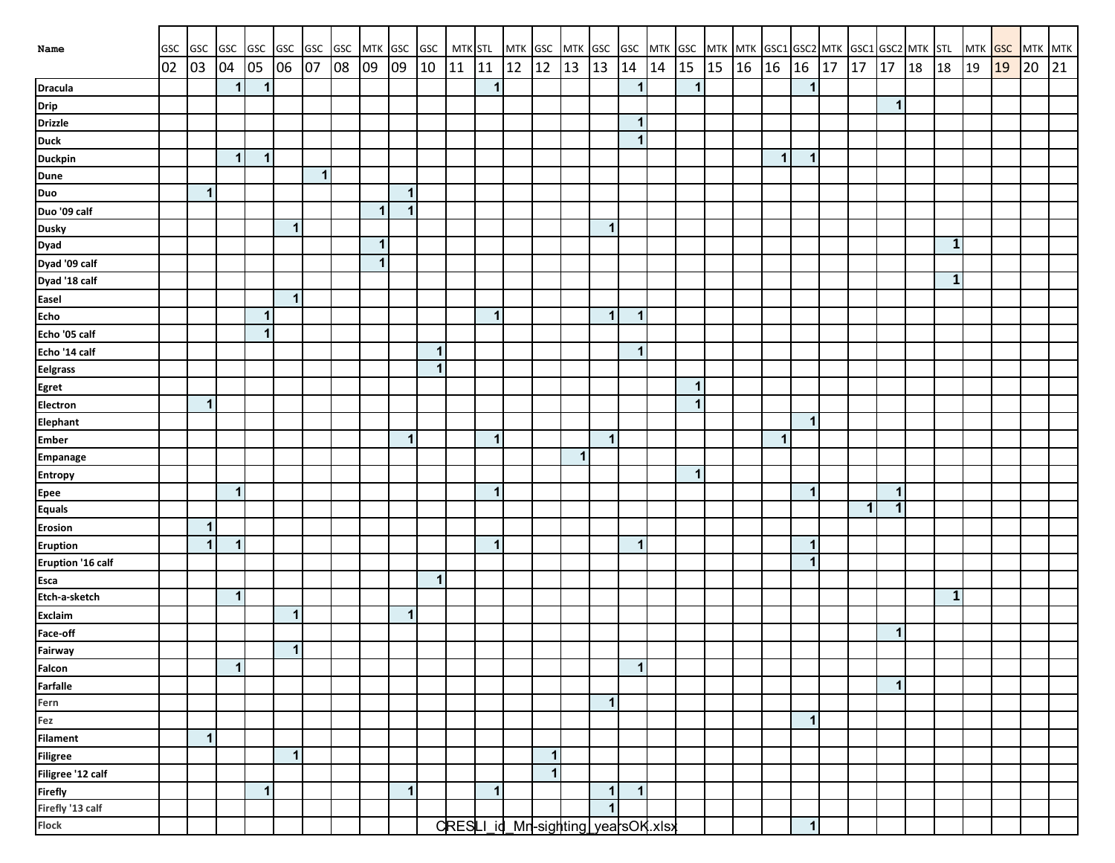| Name                        | <b>GSC</b> |              |              |              |              |              | GSC GSC GSC GSC GSC GSC MTK GSC GSC MTK STL |                         |                      |              |    |              |    |                |              | MTK GSC MTK GSC GSC MTK GSC MTK MTK GSC1 GSC2 MTK GSC1 GSC2 MTK STL |              |    |              |    |                      |              |    |    |              |           |              | MTK GSC MTK MTK |    |    |    |
|-----------------------------|------------|--------------|--------------|--------------|--------------|--------------|---------------------------------------------|-------------------------|----------------------|--------------|----|--------------|----|----------------|--------------|---------------------------------------------------------------------|--------------|----|--------------|----|----------------------|--------------|----|----|--------------|-----------|--------------|-----------------|----|----|----|
|                             | 02         | 03           | 04           | 05           | 06 07        |              | 08                                          | 09                      | 09                   | 10           | 11 | 11           | 12 | $12$           | 13           | 13                                                                  | 14           | 14 | 15           | 15 | $16 \mid 16 \mid 16$ |              | 17 | 17 | 17           | <b>18</b> | 18           | 19              | 19 | 20 | 21 |
| <b>Dracula</b>              |            |              | $\mathbf 1$  | $\mathbf{1}$ |              |              |                                             |                         |                      |              |    | $\mathbf{1}$ |    |                |              |                                                                     | $\mathbf{1}$ |    | $\mathbf 1$  |    |                      | $\mathbf{1}$ |    |    |              |           |              |                 |    |    |    |
| Drip                        |            |              |              |              |              |              |                                             |                         |                      |              |    |              |    |                |              |                                                                     |              |    |              |    |                      |              |    |    | $\mathbf{1}$ |           |              |                 |    |    |    |
| <b>Drizzle</b>              |            |              |              |              |              |              |                                             |                         |                      |              |    |              |    |                |              |                                                                     | 1            |    |              |    |                      |              |    |    |              |           |              |                 |    |    |    |
| <b>Duck</b>                 |            |              |              |              |              |              |                                             |                         |                      |              |    |              |    |                |              |                                                                     | $\mathbf{1}$ |    |              |    |                      |              |    |    |              |           |              |                 |    |    |    |
| <b>Duckpin</b>              |            |              | $\mathbf{1}$ | $\mathbf{1}$ |              |              |                                             |                         |                      |              |    |              |    |                |              |                                                                     |              |    |              |    | $\mathbf{1}$         | $\mathbf{1}$ |    |    |              |           |              |                 |    |    |    |
|                             |            |              |              |              |              | $\mathbf{1}$ |                                             |                         |                      |              |    |              |    |                |              |                                                                     |              |    |              |    |                      |              |    |    |              |           |              |                 |    |    |    |
| Dune<br>Duo                 |            | $\mathbf{1}$ |              |              |              |              |                                             |                         | $\blacktriangleleft$ |              |    |              |    |                |              |                                                                     |              |    |              |    |                      |              |    |    |              |           |              |                 |    |    |    |
| Duo '09 calf                |            |              |              |              |              |              |                                             | 1                       | $\blacktriangleleft$ |              |    |              |    |                |              |                                                                     |              |    |              |    |                      |              |    |    |              |           |              |                 |    |    |    |
| <b>Dusky</b>                |            |              |              |              | $\mathbf{1}$ |              |                                             |                         |                      |              |    |              |    |                |              | 1                                                                   |              |    |              |    |                      |              |    |    |              |           |              |                 |    |    |    |
| Dyad                        |            |              |              |              |              |              |                                             | $\blacktriangleleft$    |                      |              |    |              |    |                |              |                                                                     |              |    |              |    |                      |              |    |    |              |           | $\mathbf{1}$ |                 |    |    |    |
| Dyad '09 calf               |            |              |              |              |              |              |                                             | $\overline{\mathbf{1}}$ |                      |              |    |              |    |                |              |                                                                     |              |    |              |    |                      |              |    |    |              |           |              |                 |    |    |    |
| Dyad '18 calf               |            |              |              |              |              |              |                                             |                         |                      |              |    |              |    |                |              |                                                                     |              |    |              |    |                      |              |    |    |              |           | $\mathbf{1}$ |                 |    |    |    |
| Easel                       |            |              |              |              | $\mathbf{1}$ |              |                                             |                         |                      |              |    |              |    |                |              |                                                                     |              |    |              |    |                      |              |    |    |              |           |              |                 |    |    |    |
| <b>Echo</b>                 |            |              |              | 1            |              |              |                                             |                         |                      |              |    | $\mathbf{1}$ |    |                |              | $\mathbf{1}$                                                        | $\mathbf{1}$ |    |              |    |                      |              |    |    |              |           |              |                 |    |    |    |
| Echo '05 calf               |            |              |              | $\mathbf{1}$ |              |              |                                             |                         |                      |              |    |              |    |                |              |                                                                     |              |    |              |    |                      |              |    |    |              |           |              |                 |    |    |    |
| Echo '14 calf               |            |              |              |              |              |              |                                             |                         |                      | $\mathbf{1}$ |    |              |    |                |              |                                                                     | 1            |    |              |    |                      |              |    |    |              |           |              |                 |    |    |    |
| <b>Eelgrass</b>             |            |              |              |              |              |              |                                             |                         |                      | $\mathbf{1}$ |    |              |    |                |              |                                                                     |              |    |              |    |                      |              |    |    |              |           |              |                 |    |    |    |
| <b>Egret</b>                |            |              |              |              |              |              |                                             |                         |                      |              |    |              |    |                |              |                                                                     |              |    | $\mathbf{1}$ |    |                      |              |    |    |              |           |              |                 |    |    |    |
| Electron                    |            | $\mathbf{1}$ |              |              |              |              |                                             |                         |                      |              |    |              |    |                |              |                                                                     |              |    | $\mathbf{1}$ |    |                      |              |    |    |              |           |              |                 |    |    |    |
| Elephant                    |            |              |              |              |              |              |                                             |                         |                      |              |    |              |    |                |              |                                                                     |              |    |              |    |                      | $\mathbf{1}$ |    |    |              |           |              |                 |    |    |    |
| <b>Ember</b>                |            |              |              |              |              |              |                                             |                         | $\mathbf 1$          |              |    | 1            |    |                |              | 1                                                                   |              |    |              |    | $\mathbf{1}$         |              |    |    |              |           |              |                 |    |    |    |
| <b>Empanage</b>             |            |              |              |              |              |              |                                             |                         |                      |              |    |              |    |                | $\mathbf{1}$ |                                                                     |              |    |              |    |                      |              |    |    |              |           |              |                 |    |    |    |
| <b>Entropy</b>              |            |              |              |              |              |              |                                             |                         |                      |              |    |              |    |                |              |                                                                     |              |    | $\mathbf 1$  |    |                      |              |    |    |              |           |              |                 |    |    |    |
| <b>Epee</b>                 |            |              | $\mathbf{1}$ |              |              |              |                                             |                         |                      |              |    | 1            |    |                |              |                                                                     |              |    |              |    |                      | 1            |    |    | $\mathbf{1}$ |           |              |                 |    |    |    |
| Equals                      |            |              |              |              |              |              |                                             |                         |                      |              |    |              |    |                |              |                                                                     |              |    |              |    |                      |              |    | 1  | $\mathbf 1$  |           |              |                 |    |    |    |
| <b>Erosion</b>              |            | $\mathbf{1}$ |              |              |              |              |                                             |                         |                      |              |    |              |    |                |              |                                                                     |              |    |              |    |                      |              |    |    |              |           |              |                 |    |    |    |
| <b>Eruption</b>             |            | $\mathbf{1}$ | $\mathbf{1}$ |              |              |              |                                             |                         |                      |              |    | $\mathbf{1}$ |    |                |              |                                                                     | $\mathbf{1}$ |    |              |    |                      | 1            |    |    |              |           |              |                 |    |    |    |
| Eruption '16 calf           |            |              |              |              |              |              |                                             |                         |                      |              |    |              |    |                |              |                                                                     |              |    |              |    |                      | $\mathbf{1}$ |    |    |              |           |              |                 |    |    |    |
| Esca                        |            |              |              |              |              |              |                                             |                         |                      | $\mathbf{1}$ |    |              |    |                |              |                                                                     |              |    |              |    |                      |              |    |    |              |           |              |                 |    |    |    |
| Etch-a-sketch               |            |              | $\mathbf{1}$ |              |              |              |                                             |                         |                      |              |    |              |    |                |              |                                                                     |              |    |              |    |                      |              |    |    |              |           | $\mathbf{1}$ |                 |    |    |    |
| Exclaim                     |            |              |              |              | $\mathbf{1}$ |              |                                             |                         | $\mathbf{1}$         |              |    |              |    |                |              |                                                                     |              |    |              |    |                      |              |    |    |              |           |              |                 |    |    |    |
| Face-off                    |            |              |              |              |              |              |                                             |                         |                      |              |    |              |    |                |              |                                                                     |              |    |              |    |                      |              |    |    | $\mathbf{1}$ |           |              |                 |    |    |    |
| Fairway                     |            |              |              |              | $\mathbf{1}$ |              |                                             |                         |                      |              |    |              |    |                |              |                                                                     |              |    |              |    |                      |              |    |    |              |           |              |                 |    |    |    |
| Falcon                      |            |              | $\mathbf{1}$ |              |              |              |                                             |                         |                      |              |    |              |    |                |              |                                                                     | $\mathbf{1}$ |    |              |    |                      |              |    |    |              |           |              |                 |    |    |    |
| Farfalle                    |            |              |              |              |              |              |                                             |                         |                      |              |    |              |    |                |              |                                                                     |              |    |              |    |                      |              |    |    | $\mathbf{1}$ |           |              |                 |    |    |    |
| Fern                        |            |              |              |              |              |              |                                             |                         |                      |              |    |              |    |                |              | $\mathbf{1}$                                                        |              |    |              |    |                      |              |    |    |              |           |              |                 |    |    |    |
|                             |            |              |              |              |              |              |                                             |                         |                      |              |    |              |    |                |              |                                                                     |              |    |              |    |                      | $\mathbf{1}$ |    |    |              |           |              |                 |    |    |    |
| Fez<br>Filament             |            | $\mathbf{1}$ |              |              |              |              |                                             |                         |                      |              |    |              |    |                |              |                                                                     |              |    |              |    |                      |              |    |    |              |           |              |                 |    |    |    |
| Filigree                    |            |              |              |              | $\mathbf{1}$ |              |                                             |                         |                      |              |    |              |    | $\mathbf{1}$   |              |                                                                     |              |    |              |    |                      |              |    |    |              |           |              |                 |    |    |    |
| Filigree '12 calf           |            |              |              |              |              |              |                                             |                         |                      |              |    |              |    | $\overline{1}$ |              |                                                                     |              |    |              |    |                      |              |    |    |              |           |              |                 |    |    |    |
| Firefly<br>Firefly '13 calf |            |              |              | $\mathbf{1}$ |              |              |                                             |                         | $\mathbf{1}$         |              |    | $\mathbf{1}$ |    |                |              | $\vert$ 1                                                           | $\mathbf{1}$ |    |              |    |                      |              |    |    |              |           |              |                 |    |    |    |
|                             |            |              |              |              |              |              |                                             |                         |                      |              |    |              |    |                |              | $\mathbf{1}$                                                        |              |    |              |    |                      |              |    |    |              |           |              |                 |    |    |    |
| <b>Flock</b>                |            |              |              |              |              |              |                                             |                         |                      |              |    |              |    |                |              | CRESLI_id_Mn-sighting_yearsOK.xlsx                                  |              |    |              |    |                      | $\mathbf{1}$ |    |    |              |           |              |                 |    |    |    |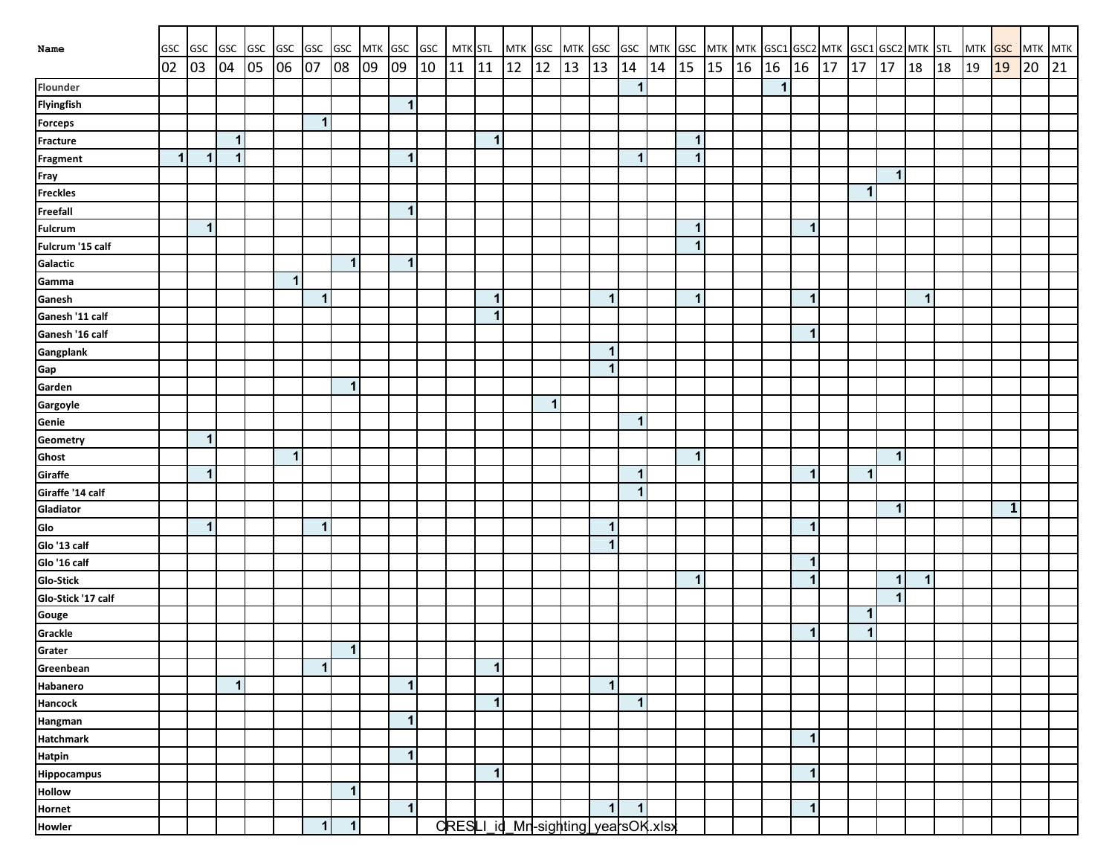|                    |              |                   |              |    |               |              |              |    |                | MTK GSC GSC MTK STL |    |              |                                    |              |    |                         |              |    |                                                           |    |       |              |                         |    |             |                      |                      |    |               |           |               |    |
|--------------------|--------------|-------------------|--------------|----|---------------|--------------|--------------|----|----------------|---------------------|----|--------------|------------------------------------|--------------|----|-------------------------|--------------|----|-----------------------------------------------------------|----|-------|--------------|-------------------------|----|-------------|----------------------|----------------------|----|---------------|-----------|---------------|----|
| Name               | GSC<br>02    | GSC GSC GSC<br>03 | 04           | 05 | GSC GSC<br>06 | 07           | GSC<br>08    | 09 | 09             | 10                  | 11 | 11           | MTK GSC MTK GSC<br>12              | 12           | 13 | 13                      | 14           | 14 | GSC MTK GSC MTK MTK GSC1 GSC2 MTK GSC1 GSC2 MTK STL<br>15 | 15 | 16 16 |              | 16                      | 17 | 17          | 17                   | <b>18</b>            | 18 | MTK GSC<br>19 | 19        | MTK MTK<br>20 | 21 |
| Flounder           |              |                   |              |    |               |              |              |    |                |                     |    |              |                                    |              |    |                         | $\mathbf{1}$ |    |                                                           |    |       | $\mathbf{1}$ |                         |    |             |                      |                      |    |               |           |               |    |
| <b>Flyingfish</b>  |              |                   |              |    |               |              |              |    | $\mathbf{1}$   |                     |    |              |                                    |              |    |                         |              |    |                                                           |    |       |              |                         |    |             |                      |                      |    |               |           |               |    |
| <b>Forceps</b>     |              |                   |              |    |               | $\mathbf{1}$ |              |    |                |                     |    |              |                                    |              |    |                         |              |    |                                                           |    |       |              |                         |    |             |                      |                      |    |               |           |               |    |
| <b>Fracture</b>    |              |                   | $\mathbf{1}$ |    |               |              |              |    |                |                     |    | $\mathbf{1}$ |                                    |              |    |                         |              |    | $\mathbf{1}$                                              |    |       |              |                         |    |             |                      |                      |    |               |           |               |    |
| Fragment           | $\mathbf{1}$ | $\mathbf{1}$      | $\mathbf{1}$ |    |               |              |              |    | $\mathbf{1}$   |                     |    |              |                                    |              |    |                         | $\mathbf{1}$ |    | $\mathbf{1}$                                              |    |       |              |                         |    |             |                      |                      |    |               |           |               |    |
|                    |              |                   |              |    |               |              |              |    |                |                     |    |              |                                    |              |    |                         |              |    |                                                           |    |       |              |                         |    |             | $\mathbf{1}$         |                      |    |               |           |               |    |
| Fray<br>Freckles   |              |                   |              |    |               |              |              |    |                |                     |    |              |                                    |              |    |                         |              |    |                                                           |    |       |              |                         |    | 1           |                      |                      |    |               |           |               |    |
| <b>Freefall</b>    |              |                   |              |    |               |              |              |    | $\mathbf{1}$   |                     |    |              |                                    |              |    |                         |              |    |                                                           |    |       |              |                         |    |             |                      |                      |    |               |           |               |    |
| <b>Fulcrum</b>     |              | $\mathbf{1}$      |              |    |               |              |              |    |                |                     |    |              |                                    |              |    |                         |              |    | 1                                                         |    |       |              | -1                      |    |             |                      |                      |    |               |           |               |    |
| Fulcrum '15 calf   |              |                   |              |    |               |              |              |    |                |                     |    |              |                                    |              |    |                         |              |    | $\mathbf{1}$                                              |    |       |              |                         |    |             |                      |                      |    |               |           |               |    |
| Galactic           |              |                   |              |    |               |              | $\mathbf{1}$ |    | $\mathbf{1}$   |                     |    |              |                                    |              |    |                         |              |    |                                                           |    |       |              |                         |    |             |                      |                      |    |               |           |               |    |
| Gamma              |              |                   |              |    | $\mathbf{1}$  |              |              |    |                |                     |    |              |                                    |              |    |                         |              |    |                                                           |    |       |              |                         |    |             |                      |                      |    |               |           |               |    |
| Ganesh             |              |                   |              |    |               | $\mathbf{1}$ |              |    |                |                     |    | $\mathbf{1}$ |                                    |              |    | $\mathbf{1}$            |              |    | $\mathbf{1}$                                              |    |       |              | $\mathbf 1$             |    |             |                      | $\blacktriangleleft$ |    |               |           |               |    |
| Ganesh '11 calf    |              |                   |              |    |               |              |              |    |                |                     |    | 1            |                                    |              |    |                         |              |    |                                                           |    |       |              |                         |    |             |                      |                      |    |               |           |               |    |
| Ganesh '16 calf    |              |                   |              |    |               |              |              |    |                |                     |    |              |                                    |              |    |                         |              |    |                                                           |    |       |              | $\mathbf 1$             |    |             |                      |                      |    |               |           |               |    |
| Gangplank          |              |                   |              |    |               |              |              |    |                |                     |    |              |                                    |              |    | $\mathbf 1$             |              |    |                                                           |    |       |              |                         |    |             |                      |                      |    |               |           |               |    |
| Gap                |              |                   |              |    |               |              |              |    |                |                     |    |              |                                    |              |    | $\mathbf{1}$            |              |    |                                                           |    |       |              |                         |    |             |                      |                      |    |               |           |               |    |
| Garden             |              |                   |              |    |               |              | $\mathbf{1}$ |    |                |                     |    |              |                                    |              |    |                         |              |    |                                                           |    |       |              |                         |    |             |                      |                      |    |               |           |               |    |
| Gargoyle           |              |                   |              |    |               |              |              |    |                |                     |    |              |                                    | $\mathbf{1}$ |    |                         |              |    |                                                           |    |       |              |                         |    |             |                      |                      |    |               |           |               |    |
| Genie              |              |                   |              |    |               |              |              |    |                |                     |    |              |                                    |              |    |                         | $\mathbf 1$  |    |                                                           |    |       |              |                         |    |             |                      |                      |    |               |           |               |    |
| Geometry           |              | $\mathbf{1}$      |              |    |               |              |              |    |                |                     |    |              |                                    |              |    |                         |              |    |                                                           |    |       |              |                         |    |             |                      |                      |    |               |           |               |    |
| Ghost              |              |                   |              |    | $\mathbf{1}$  |              |              |    |                |                     |    |              |                                    |              |    |                         |              |    | $\mathbf{1}$                                              |    |       |              |                         |    |             | $\blacktriangleleft$ |                      |    |               |           |               |    |
| Giraffe            |              | $\mathbf{1}$      |              |    |               |              |              |    |                |                     |    |              |                                    |              |    |                         | $\mathbf 1$  |    |                                                           |    |       |              | -1                      |    | 1           |                      |                      |    |               |           |               |    |
| Giraffe '14 calf   |              |                   |              |    |               |              |              |    |                |                     |    |              |                                    |              |    |                         | $\mathbf 1$  |    |                                                           |    |       |              |                         |    |             |                      |                      |    |               |           |               |    |
| Gladiator          |              |                   |              |    |               |              |              |    |                |                     |    |              |                                    |              |    |                         |              |    |                                                           |    |       |              |                         |    |             | $\mathbf{1}$         |                      |    |               | ${\bf 1}$ |               |    |
| Glo                |              | $\mathbf{1}$      |              |    |               | $\mathbf{1}$ |              |    |                |                     |    |              |                                    |              |    | $\mathbf 1$             |              |    |                                                           |    |       |              | -1                      |    |             |                      |                      |    |               |           |               |    |
| Glo '13 calf       |              |                   |              |    |               |              |              |    |                |                     |    |              |                                    |              |    | $\overline{\mathbf{1}}$ |              |    |                                                           |    |       |              |                         |    |             |                      |                      |    |               |           |               |    |
| Glo '16 calf       |              |                   |              |    |               |              |              |    |                |                     |    |              |                                    |              |    |                         |              |    |                                                           |    |       |              | $\mathbf 1$             |    |             |                      |                      |    |               |           |               |    |
| <b>Glo-Stick</b>   |              |                   |              |    |               |              |              |    |                |                     |    |              |                                    |              |    |                         |              |    | $\mathbf{1}$                                              |    |       |              | $\overline{\mathbf{1}}$ |    |             | $\mathbf{1}$         | $\mathbf 1$          |    |               |           |               |    |
| Glo-Stick '17 calf |              |                   |              |    |               |              |              |    |                |                     |    |              |                                    |              |    |                         |              |    |                                                           |    |       |              |                         |    |             | $\blacktriangleleft$ |                      |    |               |           |               |    |
| Gouge              |              |                   |              |    |               |              |              |    |                |                     |    |              |                                    |              |    |                         |              |    |                                                           |    |       |              |                         |    | $\mathbf 1$ |                      |                      |    |               |           |               |    |
| Grackle<br>Grater  |              |                   |              |    |               |              |              |    |                |                     |    |              |                                    |              |    |                         |              |    |                                                           |    |       |              | -1                      |    | 1           |                      |                      |    |               |           |               |    |
|                    |              |                   |              |    |               |              | $\mathbf{1}$ |    |                |                     |    |              |                                    |              |    |                         |              |    |                                                           |    |       |              |                         |    |             |                      |                      |    |               |           |               |    |
| Greenbean          |              |                   |              |    |               | $\mathbf 1$  |              |    |                |                     |    | $\mathbf{1}$ |                                    |              |    |                         |              |    |                                                           |    |       |              |                         |    |             |                      |                      |    |               |           |               |    |
| Habanero           |              |                   | $\mathbf{1}$ |    |               |              |              |    | $\vert$        |                     |    |              |                                    |              |    | $\overline{\mathbf{1}}$ |              |    |                                                           |    |       |              |                         |    |             |                      |                      |    |               |           |               |    |
| <b>Hancock</b>     |              |                   |              |    |               |              |              |    |                |                     |    | $\mathbf{1}$ |                                    |              |    |                         | $\mathbf{1}$ |    |                                                           |    |       |              |                         |    |             |                      |                      |    |               |           |               |    |
| Hangman            |              |                   |              |    |               |              |              |    | $\vert$        |                     |    |              |                                    |              |    |                         |              |    |                                                           |    |       |              |                         |    |             |                      |                      |    |               |           |               |    |
| <b>Hatchmark</b>   |              |                   |              |    |               |              |              |    |                |                     |    |              |                                    |              |    |                         |              |    |                                                           |    |       |              | $\mathbf 1$             |    |             |                      |                      |    |               |           |               |    |
| <b>Hatpin</b>      |              |                   |              |    |               |              |              |    | $\overline{1}$ |                     |    |              |                                    |              |    |                         |              |    |                                                           |    |       |              |                         |    |             |                      |                      |    |               |           |               |    |
| <b>Hippocampus</b> |              |                   |              |    |               |              |              |    |                |                     |    | $\mathbf{1}$ |                                    |              |    |                         |              |    |                                                           |    |       |              | $\mathbf 1$             |    |             |                      |                      |    |               |           |               |    |
| <b>Hollow</b>      |              |                   |              |    |               |              | $\mathbf{1}$ |    |                |                     |    |              |                                    |              |    |                         |              |    |                                                           |    |       |              |                         |    |             |                      |                      |    |               |           |               |    |
| Hornet             |              |                   |              |    |               |              |              |    | $\vert$        |                     |    |              |                                    |              |    | $\mathbf{1}$            | $\mathbf{1}$ |    |                                                           |    |       |              | $\mathbf 1$             |    |             |                      |                      |    |               |           |               |    |
| Howler             |              |                   |              |    |               | $\mathbf{1}$ | $\mathbf{1}$ |    |                |                     |    |              | CRESLI_id_Mr-sighting yearsOK.xlsx |              |    |                         |              |    |                                                           |    |       |              |                         |    |             |                      |                      |    |               |           |               |    |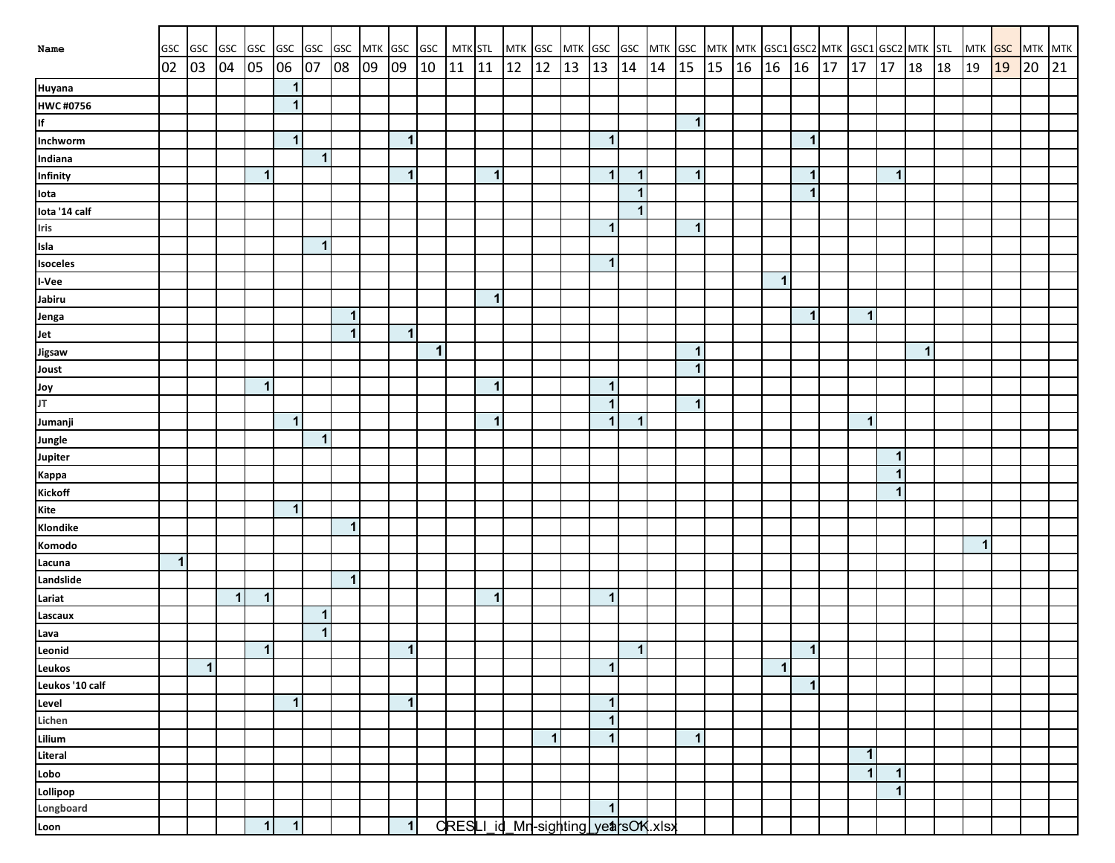| Name                                                                      | <b>GSC</b> |              |              |              |              |              |                |    |              |              |    |              |    |              |    | GSC GSC GSC GSC GSC GSC MTK GSC GSC   MTK STL  MTK GSC  MTK GSC  MTK GSC  MTK  MTK  MTK  GSC1 GSC2 MTK  SSC1 GSC2 MTK  STL  MTK <mark>GSC  </mark> MTK  MTK |             |    |              |    |                           |              |    |             |                      |              |    |    |    |    |    |
|---------------------------------------------------------------------------|------------|--------------|--------------|--------------|--------------|--------------|----------------|----|--------------|--------------|----|--------------|----|--------------|----|-------------------------------------------------------------------------------------------------------------------------------------------------------------|-------------|----|--------------|----|---------------------------|--------------|----|-------------|----------------------|--------------|----|----|----|----|----|
|                                                                           | 02         | 03           | 04           | 05 06 07     |              |              | 08             | 09 | 09           | 10           | 11 | 11           | 12 | $ 12\rangle$ | 13 | 13                                                                                                                                                          | 14          | 14 | 15           | 15 | $16 \mid 16 \mid 16 \mid$ |              | 17 | 17          | 17 18                |              | 18 | 19 | 19 | 20 | 21 |
| Huyana                                                                    |            |              |              |              | $\mathbf{1}$ |              |                |    |              |              |    |              |    |              |    |                                                                                                                                                             |             |    |              |    |                           |              |    |             |                      |              |    |    |    |    |    |
| HWC#0756                                                                  |            |              |              |              | $\mathbf 1$  |              |                |    |              |              |    |              |    |              |    |                                                                                                                                                             |             |    |              |    |                           |              |    |             |                      |              |    |    |    |    |    |
| lf<br>Inchworm                                                            |            |              |              |              |              |              |                |    |              |              |    |              |    |              |    |                                                                                                                                                             |             |    | $\mathbf{1}$ |    |                           |              |    |             |                      |              |    |    |    |    |    |
|                                                                           |            |              |              |              | $\mathbf 1$  |              |                |    | $\mathbf{1}$ |              |    |              |    |              |    | $\mathbf{1}$                                                                                                                                                |             |    |              |    |                           | $\mathbf{1}$ |    |             |                      |              |    |    |    |    |    |
| Indiana                                                                   |            |              |              |              |              | $\mathbf{1}$ |                |    |              |              |    |              |    |              |    |                                                                                                                                                             |             |    |              |    |                           |              |    |             |                      |              |    |    |    |    |    |
|                                                                           |            |              |              | $\mathbf{1}$ |              |              |                |    | $\mathbf{1}$ |              |    | $\mathbf{1}$ |    |              |    | $\mathbf{1}$                                                                                                                                                | $\mathbf 1$ |    | $\mathbf{1}$ |    |                           | $\mathbf{1}$ |    |             | $\mathbf{1}$         |              |    |    |    |    |    |
|                                                                           |            |              |              |              |              |              |                |    |              |              |    |              |    |              |    |                                                                                                                                                             | $\mathbf 1$ |    |              |    |                           | $\mathbf 1$  |    |             |                      |              |    |    |    |    |    |
|                                                                           |            |              |              |              |              |              |                |    |              |              |    |              |    |              |    |                                                                                                                                                             | $\mathbf 1$ |    |              |    |                           |              |    |             |                      |              |    |    |    |    |    |
| Infinity<br>Infinity<br>Iota<br>Iota '14 calf<br>Iris<br>Isla<br>Isoceles |            |              |              |              |              |              |                |    |              |              |    |              |    |              |    | 1                                                                                                                                                           |             |    | 1            |    |                           |              |    |             |                      |              |    |    |    |    |    |
|                                                                           |            |              |              |              |              | $\mathbf{1}$ |                |    |              |              |    |              |    |              |    |                                                                                                                                                             |             |    |              |    |                           |              |    |             |                      |              |    |    |    |    |    |
|                                                                           |            |              |              |              |              |              |                |    |              |              |    |              |    |              |    | $\overline{\mathbf{1}}$                                                                                                                                     |             |    |              |    |                           |              |    |             |                      |              |    |    |    |    |    |
|                                                                           |            |              |              |              |              |              |                |    |              |              |    |              |    |              |    |                                                                                                                                                             |             |    |              |    | $\mathbf{1}$              |              |    |             |                      |              |    |    |    |    |    |
| I-Vee<br>Jabiru                                                           |            |              |              |              |              |              |                |    |              |              |    | $\mathbf{1}$ |    |              |    |                                                                                                                                                             |             |    |              |    |                           |              |    |             |                      |              |    |    |    |    |    |
|                                                                           |            |              |              |              |              |              | $\mathbf{1}$   |    |              |              |    |              |    |              |    |                                                                                                                                                             |             |    |              |    |                           | $\mathbf{1}$ |    | 1           |                      |              |    |    |    |    |    |
| Jenga<br>Jet<br>Jigsaw<br>Joust                                           |            |              |              |              |              |              | $\overline{1}$ |    | $\mathbf{1}$ |              |    |              |    |              |    |                                                                                                                                                             |             |    |              |    |                           |              |    |             |                      |              |    |    |    |    |    |
|                                                                           |            |              |              |              |              |              |                |    |              | $\mathbf{1}$ |    |              |    |              |    |                                                                                                                                                             |             |    | $\mathbf{1}$ |    |                           |              |    |             |                      | $\mathbf{1}$ |    |    |    |    |    |
|                                                                           |            |              |              |              |              |              |                |    |              |              |    |              |    |              |    |                                                                                                                                                             |             |    | $\mathbf{1}$ |    |                           |              |    |             |                      |              |    |    |    |    |    |
|                                                                           |            |              |              | $\mathbf{1}$ |              |              |                |    |              |              |    | $\mathbf{1}$ |    |              |    | $\mathbf{1}$                                                                                                                                                |             |    |              |    |                           |              |    |             |                      |              |    |    |    |    |    |
| VOL<br>TL                                                                 |            |              |              |              |              |              |                |    |              |              |    |              |    |              |    | $\overline{\mathbf{1}}$                                                                                                                                     |             |    | $\mathbf{1}$ |    |                           |              |    |             |                      |              |    |    |    |    |    |
| Jumanji                                                                   |            |              |              |              | $\mathbf{1}$ |              |                |    |              |              |    | $\mathbf 1$  |    |              |    | $\overline{\mathbf{1}}$                                                                                                                                     | $\mathbf 1$ |    |              |    |                           |              |    | 1           |                      |              |    |    |    |    |    |
| Jungle                                                                    |            |              |              |              |              | $\mathbf 1$  |                |    |              |              |    |              |    |              |    |                                                                                                                                                             |             |    |              |    |                           |              |    |             |                      |              |    |    |    |    |    |
| <b>Jupiter</b>                                                            |            |              |              |              |              |              |                |    |              |              |    |              |    |              |    |                                                                                                                                                             |             |    |              |    |                           |              |    |             | $\blacktriangleleft$ |              |    |    |    |    |    |
| <b>Kappa</b>                                                              |            |              |              |              |              |              |                |    |              |              |    |              |    |              |    |                                                                                                                                                             |             |    |              |    |                           |              |    |             | $\blacktriangleleft$ |              |    |    |    |    |    |
| Kickoff                                                                   |            |              |              |              |              |              |                |    |              |              |    |              |    |              |    |                                                                                                                                                             |             |    |              |    |                           |              |    |             | $\blacktriangleleft$ |              |    |    |    |    |    |
| Kite                                                                      |            |              |              |              | $\mathbf{1}$ |              |                |    |              |              |    |              |    |              |    |                                                                                                                                                             |             |    |              |    |                           |              |    |             |                      |              |    |    |    |    |    |
| Klondike                                                                  |            |              |              |              |              |              | $\mathbf{1}$   |    |              |              |    |              |    |              |    |                                                                                                                                                             |             |    |              |    |                           |              |    |             |                      |              |    |    |    |    |    |
| Komodo                                                                    |            |              |              |              |              |              |                |    |              |              |    |              |    |              |    |                                                                                                                                                             |             |    |              |    |                           |              |    |             |                      |              |    | 1  |    |    |    |
| Lacuna                                                                    | $\vert$    |              |              |              |              |              |                |    |              |              |    |              |    |              |    |                                                                                                                                                             |             |    |              |    |                           |              |    |             |                      |              |    |    |    |    |    |
| Landslide                                                                 |            |              |              |              |              |              | $\mathbf{1}$   |    |              |              |    |              |    |              |    |                                                                                                                                                             |             |    |              |    |                           |              |    |             |                      |              |    |    |    |    |    |
| Lariat                                                                    |            |              | $\mathbf{1}$ | 1            |              |              |                |    |              |              |    | $\mathbf{1}$ |    |              |    | $\mathbf{1}$                                                                                                                                                |             |    |              |    |                           |              |    |             |                      |              |    |    |    |    |    |
|                                                                           |            |              |              |              |              | $\mathbf{1}$ |                |    |              |              |    |              |    |              |    |                                                                                                                                                             |             |    |              |    |                           |              |    |             |                      |              |    |    |    |    |    |
|                                                                           |            |              |              |              |              | $\mathbf{1}$ |                |    |              |              |    |              |    |              |    |                                                                                                                                                             |             |    |              |    |                           |              |    |             |                      |              |    |    |    |    |    |
| Lascaux<br>Lava<br>Leonid                                                 |            |              |              | $\mathbf{1}$ |              |              |                |    | $\mathbf{1}$ |              |    |              |    |              |    |                                                                                                                                                             | $\mathbf 1$ |    |              |    |                           | $\mathbf 1$  |    |             |                      |              |    |    |    |    |    |
| Leukos                                                                    |            | $\mathbf{1}$ |              |              |              |              |                |    |              |              |    |              |    |              |    | $\mathbf{1}$                                                                                                                                                |             |    |              |    | $\mathbf{1}$              |              |    |             |                      |              |    |    |    |    |    |
| Leukos '10 calf                                                           |            |              |              |              |              |              |                |    |              |              |    |              |    |              |    |                                                                                                                                                             |             |    |              |    |                           | $\mathbf 1$  |    |             |                      |              |    |    |    |    |    |
| Level                                                                     |            |              |              |              | $\mathbf{1}$ |              |                |    | $\mathbf{1}$ |              |    |              |    |              |    | $\mathbf{1}$                                                                                                                                                |             |    |              |    |                           |              |    |             |                      |              |    |    |    |    |    |
| Lichen                                                                    |            |              |              |              |              |              |                |    |              |              |    |              |    |              |    | $\mathbf{1}$                                                                                                                                                |             |    |              |    |                           |              |    |             |                      |              |    |    |    |    |    |
| Lilium                                                                    |            |              |              |              |              |              |                |    |              |              |    |              |    | $\mathbf{1}$ |    | $\mathbf{1}$                                                                                                                                                |             |    | $\mathbf 1$  |    |                           |              |    |             |                      |              |    |    |    |    |    |
| Literal                                                                   |            |              |              |              |              |              |                |    |              |              |    |              |    |              |    |                                                                                                                                                             |             |    |              |    |                           |              |    | $\mathbf 1$ |                      |              |    |    |    |    |    |
| Lobo                                                                      |            |              |              |              |              |              |                |    |              |              |    |              |    |              |    |                                                                                                                                                             |             |    |              |    |                           |              |    | 1           | $\mathbf{1}$         |              |    |    |    |    |    |
|                                                                           |            |              |              |              |              |              |                |    |              |              |    |              |    |              |    |                                                                                                                                                             |             |    |              |    |                           |              |    |             | $\mathbf{1}$         |              |    |    |    |    |    |
| Lollipop<br>Longboard                                                     |            |              |              |              |              |              |                |    |              |              |    |              |    |              |    | $\mathbf{1}$                                                                                                                                                |             |    |              |    |                           |              |    |             |                      |              |    |    |    |    |    |
| Loon                                                                      |            |              |              | $\mathbf{1}$ | $\mathbf 1$  |              |                |    | 1            |              |    |              |    |              |    | CRESLI_id_Mn-sighting_yearsON.xlsx                                                                                                                          |             |    |              |    |                           |              |    |             |                      |              |    |    |    |    |    |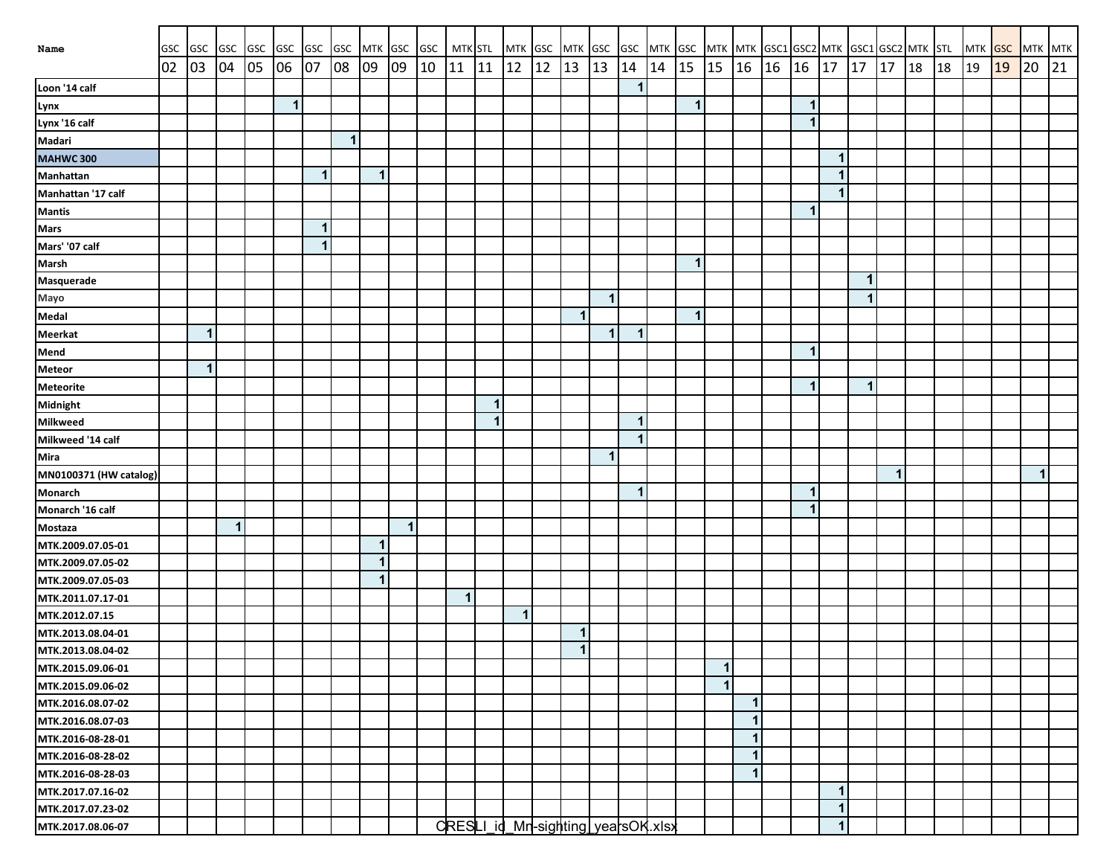| Name                   | <b>GSC</b> | GSC GSC GSC  |             |    | GSC GSC      |             | GSC                     |    |           | MTK GSC GSC MTK STL |              |              | MTK GSC MTK GSC |              |              |                                     |                      |    |              |              |              |                      |              |    | GSC MTK GSC MTK MTK GSC1 GSC2 MTK GSC1 GSC2 MTK STL |    |    | MTK GSC MTK MTK |    |             |    |
|------------------------|------------|--------------|-------------|----|--------------|-------------|-------------------------|----|-----------|---------------------|--------------|--------------|-----------------|--------------|--------------|-------------------------------------|----------------------|----|--------------|--------------|--------------|----------------------|--------------|----|-----------------------------------------------------|----|----|-----------------|----|-------------|----|
|                        | 02         | $ 03\rangle$ | 04          | 05 | 06           | 07          | 08                      | 09 | 09        | 10                  | 11           | 11           | 12              | $ 12\rangle$ | 13           | 13                                  | 14                   | 14 | 15           | 15           | 16 16        | 16                   | 17           | 17 | 17                                                  | 18 | 18 | 19              | 19 | 20          | 21 |
| Loon '14 calf          |            |              |             |    |              |             |                         |    |           |                     |              |              |                 |              |              |                                     | $\mathbf{1}$         |    |              |              |              |                      |              |    |                                                     |    |    |                 |    |             |    |
| Lynx                   |            |              |             |    | $\mathbf{1}$ |             |                         |    |           |                     |              |              |                 |              |              |                                     |                      |    | $\mathbf{1}$ |              |              | 1                    |              |    |                                                     |    |    |                 |    |             |    |
| Lynx '16 calf          |            |              |             |    |              |             |                         |    |           |                     |              |              |                 |              |              |                                     |                      |    |              |              |              | $\blacktriangleleft$ |              |    |                                                     |    |    |                 |    |             |    |
| Madari                 |            |              |             |    |              |             | $\overline{\mathbf{1}}$ |    |           |                     |              |              |                 |              |              |                                     |                      |    |              |              |              |                      |              |    |                                                     |    |    |                 |    |             |    |
| MAHWC 300              |            |              |             |    |              |             |                         |    |           |                     |              |              |                 |              |              |                                     |                      |    |              |              |              |                      | 1            |    |                                                     |    |    |                 |    |             |    |
| Manhattan              |            |              |             |    |              | $\mathbf 1$ |                         | 1  |           |                     |              |              |                 |              |              |                                     |                      |    |              |              |              |                      | 1            |    |                                                     |    |    |                 |    |             |    |
| Manhattan '17 calf     |            |              |             |    |              |             |                         |    |           |                     |              |              |                 |              |              |                                     |                      |    |              |              |              |                      | 1            |    |                                                     |    |    |                 |    |             |    |
| <b>Mantis</b>          |            |              |             |    |              |             |                         |    |           |                     |              |              |                 |              |              |                                     |                      |    |              |              |              |                      |              |    |                                                     |    |    |                 |    |             |    |
| <b>Mars</b>            |            |              |             |    |              | $\mathbf 1$ |                         |    |           |                     |              |              |                 |              |              |                                     |                      |    |              |              |              |                      |              |    |                                                     |    |    |                 |    |             |    |
| Mars' '07 calf         |            |              |             |    |              | $\mathbf 1$ |                         |    |           |                     |              |              |                 |              |              |                                     |                      |    |              |              |              |                      |              |    |                                                     |    |    |                 |    |             |    |
| <b>Marsh</b>           |            |              |             |    |              |             |                         |    |           |                     |              |              |                 |              |              |                                     |                      |    | $\mathbf 1$  |              |              |                      |              |    |                                                     |    |    |                 |    |             |    |
| <b>Masquerade</b>      |            |              |             |    |              |             |                         |    |           |                     |              |              |                 |              |              |                                     |                      |    |              |              |              |                      |              | 1  |                                                     |    |    |                 |    |             |    |
| Mayo                   |            |              |             |    |              |             |                         |    |           |                     |              |              |                 |              |              | 1                                   |                      |    |              |              |              |                      |              | 1  |                                                     |    |    |                 |    |             |    |
| Medal                  |            |              |             |    |              |             |                         |    |           |                     |              |              |                 |              | $\mathbf{1}$ |                                     |                      |    | $\mathbf{1}$ |              |              |                      |              |    |                                                     |    |    |                 |    |             |    |
| <b>Meerkat</b>         |            | $\mathbf 1$  |             |    |              |             |                         |    |           |                     |              |              |                 |              |              | 1                                   | $\mathbf 1$          |    |              |              |              |                      |              |    |                                                     |    |    |                 |    |             |    |
| Mend                   |            |              |             |    |              |             |                         |    |           |                     |              |              |                 |              |              |                                     |                      |    |              |              |              | $\mathbf 1$          |              |    |                                                     |    |    |                 |    |             |    |
| Meteor                 |            | $\mathbf 1$  |             |    |              |             |                         |    |           |                     |              |              |                 |              |              |                                     |                      |    |              |              |              |                      |              |    |                                                     |    |    |                 |    |             |    |
| <b>Meteorite</b>       |            |              |             |    |              |             |                         |    |           |                     |              |              |                 |              |              |                                     |                      |    |              |              |              | $\blacktriangleleft$ |              | 1  |                                                     |    |    |                 |    |             |    |
| Midnight               |            |              |             |    |              |             |                         |    |           |                     |              | $\mathbf{1}$ |                 |              |              |                                     |                      |    |              |              |              |                      |              |    |                                                     |    |    |                 |    |             |    |
| <b>Milkweed</b>        |            |              |             |    |              |             |                         |    |           |                     |              | $\mathbf{1}$ |                 |              |              |                                     | $\mathbf{1}$         |    |              |              |              |                      |              |    |                                                     |    |    |                 |    |             |    |
| Milkweed '14 calf      |            |              |             |    |              |             |                         |    |           |                     |              |              |                 |              |              |                                     | $\blacktriangleleft$ |    |              |              |              |                      |              |    |                                                     |    |    |                 |    |             |    |
| Mira                   |            |              |             |    |              |             |                         |    |           |                     |              |              |                 |              |              | 1                                   |                      |    |              |              |              |                      |              |    |                                                     |    |    |                 |    |             |    |
| MN0100371 (HW catalog) |            |              |             |    |              |             |                         |    |           |                     |              |              |                 |              |              |                                     |                      |    |              |              |              |                      |              |    | 1                                                   |    |    |                 |    | $\mathbf 1$ |    |
| Monarch                |            |              |             |    |              |             |                         |    |           |                     |              |              |                 |              |              |                                     | $\mathbf{1}$         |    |              |              |              |                      |              |    |                                                     |    |    |                 |    |             |    |
| Monarch '16 calf       |            |              |             |    |              |             |                         |    |           |                     |              |              |                 |              |              |                                     |                      |    |              |              |              |                      |              |    |                                                     |    |    |                 |    |             |    |
| Mostaza                |            |              | $\mathbf 1$ |    |              |             |                         |    | $\vert$ 1 |                     |              |              |                 |              |              |                                     |                      |    |              |              |              |                      |              |    |                                                     |    |    |                 |    |             |    |
| MTK.2009.07.05-01      |            |              |             |    |              |             |                         | 1  |           |                     |              |              |                 |              |              |                                     |                      |    |              |              |              |                      |              |    |                                                     |    |    |                 |    |             |    |
| MTK.2009.07.05-02      |            |              |             |    |              |             |                         | 1  |           |                     |              |              |                 |              |              |                                     |                      |    |              |              |              |                      |              |    |                                                     |    |    |                 |    |             |    |
| MTK.2009.07.05-03      |            |              |             |    |              |             |                         | 1  |           |                     |              |              |                 |              |              |                                     |                      |    |              |              |              |                      |              |    |                                                     |    |    |                 |    |             |    |
| MTK.2011.07.17-01      |            |              |             |    |              |             |                         |    |           |                     | $\mathbf{1}$ |              |                 |              |              |                                     |                      |    |              |              |              |                      |              |    |                                                     |    |    |                 |    |             |    |
| MTK.2012.07.15         |            |              |             |    |              |             |                         |    |           |                     |              |              | $\mathbf{1}$    |              |              |                                     |                      |    |              |              |              |                      |              |    |                                                     |    |    |                 |    |             |    |
| MTK.2013.08.04-01      |            |              |             |    |              |             |                         |    |           |                     |              |              |                 |              | $\mathbf{1}$ |                                     |                      |    |              |              |              |                      |              |    |                                                     |    |    |                 |    |             |    |
| MTK.2013.08.04-02      |            |              |             |    |              |             |                         |    |           |                     |              |              |                 |              | $\mathbf{1}$ |                                     |                      |    |              |              |              |                      |              |    |                                                     |    |    |                 |    |             |    |
| MTK.2015.09.06-01      |            |              |             |    |              |             |                         |    |           |                     |              |              |                 |              |              |                                     |                      |    |              | $\mathbf{1}$ |              |                      |              |    |                                                     |    |    |                 |    |             |    |
| MTK.2015.09.06-02      |            |              |             |    |              |             |                         |    |           |                     |              |              |                 |              |              |                                     |                      |    |              | 1            |              |                      |              |    |                                                     |    |    |                 |    |             |    |
| MTK.2016.08.07-02      |            |              |             |    |              |             |                         |    |           |                     |              |              |                 |              |              |                                     |                      |    |              |              | 1            |                      |              |    |                                                     |    |    |                 |    |             |    |
| MTK.2016.08.07-03      |            |              |             |    |              |             |                         |    |           |                     |              |              |                 |              |              |                                     |                      |    |              |              | $\mathbf{1}$ |                      |              |    |                                                     |    |    |                 |    |             |    |
| MTK.2016-08-28-01      |            |              |             |    |              |             |                         |    |           |                     |              |              |                 |              |              |                                     |                      |    |              |              | $\mathbf 1$  |                      |              |    |                                                     |    |    |                 |    |             |    |
| MTK.2016-08-28-02      |            |              |             |    |              |             |                         |    |           |                     |              |              |                 |              |              |                                     |                      |    |              |              | $\mathbf 1$  |                      |              |    |                                                     |    |    |                 |    |             |    |
| MTK.2016-08-28-03      |            |              |             |    |              |             |                         |    |           |                     |              |              |                 |              |              |                                     |                      |    |              |              | $\mathbf{1}$ |                      |              |    |                                                     |    |    |                 |    |             |    |
| MTK.2017.07.16-02      |            |              |             |    |              |             |                         |    |           |                     |              |              |                 |              |              |                                     |                      |    |              |              |              |                      | 1            |    |                                                     |    |    |                 |    |             |    |
| MTK.2017.07.23-02      |            |              |             |    |              |             |                         |    |           |                     |              |              |                 |              |              |                                     |                      |    |              |              |              |                      | 1            |    |                                                     |    |    |                 |    |             |    |
| MTK.2017.08.06-07      |            |              |             |    |              |             |                         |    |           |                     |              |              |                 |              |              | CRESLI_id_Mrl-sighting_yearsOK.xlsx |                      |    |              |              |              |                      | $\mathbf{1}$ |    |                                                     |    |    |                 |    |             |    |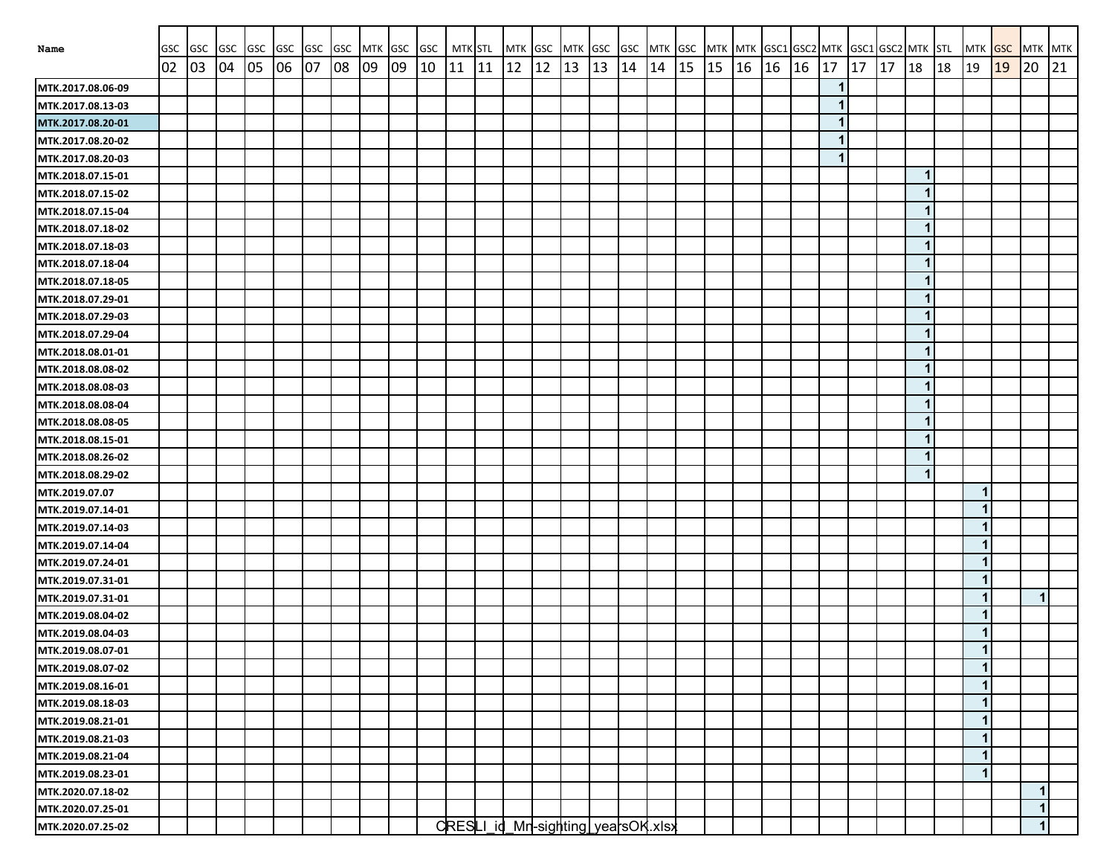|                                        |           |                  | <b>GSC</b> | <b>GSC</b> | GSC | GSC | GSC | MTK GSC |    | GSC | MTK STL |    | MTK GSC                             |    | MTK GSC |    |    |    |    | GSC MTK GSC MTK MTK GSC1 GSC2 MTK GSC1 GSC2 MTK STL |       |    |                         |    |    |             |    |                  | <b>GSC</b> |               |    |
|----------------------------------------|-----------|------------------|------------|------------|-----|-----|-----|---------|----|-----|---------|----|-------------------------------------|----|---------|----|----|----|----|-----------------------------------------------------|-------|----|-------------------------|----|----|-------------|----|------------------|------------|---------------|----|
| Name                                   | GSC<br>02 | <b>GSC</b><br>03 | 04         | 05         | 06  | 07  | 08  | 09      | 09 | 10  | 11      | 11 | 12                                  | 12 | 13      | 13 | 14 | 14 | 15 | 15                                                  | 16 16 | 16 | 17                      | 17 | 17 | 18          | 18 | <b>MTK</b><br>19 | 19         | MTK MTK<br>20 | 21 |
| MTK.2017.08.06-09                      |           |                  |            |            |     |     |     |         |    |     |         |    |                                     |    |         |    |    |    |    |                                                     |       |    | 1                       |    |    |             |    |                  |            |               |    |
|                                        |           |                  |            |            |     |     |     |         |    |     |         |    |                                     |    |         |    |    |    |    |                                                     |       |    | 1                       |    |    |             |    |                  |            |               |    |
| MTK.2017.08.13-03<br>MTK.2017.08.20-01 |           |                  |            |            |     |     |     |         |    |     |         |    |                                     |    |         |    |    |    |    |                                                     |       |    | 1                       |    |    |             |    |                  |            |               |    |
| MTK.2017.08.20-02                      |           |                  |            |            |     |     |     |         |    |     |         |    |                                     |    |         |    |    |    |    |                                                     |       |    | $\overline{\mathbf{1}}$ |    |    |             |    |                  |            |               |    |
| MTK.2017.08.20-03                      |           |                  |            |            |     |     |     |         |    |     |         |    |                                     |    |         |    |    |    |    |                                                     |       |    | 1                       |    |    |             |    |                  |            |               |    |
| MTK.2018.07.15-01                      |           |                  |            |            |     |     |     |         |    |     |         |    |                                     |    |         |    |    |    |    |                                                     |       |    |                         |    |    | $\mathbf 1$ |    |                  |            |               |    |
| MTK.2018.07.15-02                      |           |                  |            |            |     |     |     |         |    |     |         |    |                                     |    |         |    |    |    |    |                                                     |       |    |                         |    |    | 1           |    |                  |            |               |    |
| MTK.2018.07.15-04                      |           |                  |            |            |     |     |     |         |    |     |         |    |                                     |    |         |    |    |    |    |                                                     |       |    |                         |    |    | 1           |    |                  |            |               |    |
| MTK.2018.07.18-02                      |           |                  |            |            |     |     |     |         |    |     |         |    |                                     |    |         |    |    |    |    |                                                     |       |    |                         |    |    |             |    |                  |            |               |    |
| MTK.2018.07.18-03                      |           |                  |            |            |     |     |     |         |    |     |         |    |                                     |    |         |    |    |    |    |                                                     |       |    |                         |    |    |             |    |                  |            |               |    |
| MTK.2018.07.18-04                      |           |                  |            |            |     |     |     |         |    |     |         |    |                                     |    |         |    |    |    |    |                                                     |       |    |                         |    |    |             |    |                  |            |               |    |
| MTK.2018.07.18-05                      |           |                  |            |            |     |     |     |         |    |     |         |    |                                     |    |         |    |    |    |    |                                                     |       |    |                         |    |    | 1           |    |                  |            |               |    |
| MTK.2018.07.29-01                      |           |                  |            |            |     |     |     |         |    |     |         |    |                                     |    |         |    |    |    |    |                                                     |       |    |                         |    |    | 1           |    |                  |            |               |    |
| MTK.2018.07.29-03                      |           |                  |            |            |     |     |     |         |    |     |         |    |                                     |    |         |    |    |    |    |                                                     |       |    |                         |    |    | 1           |    |                  |            |               |    |
| MTK.2018.07.29-04                      |           |                  |            |            |     |     |     |         |    |     |         |    |                                     |    |         |    |    |    |    |                                                     |       |    |                         |    |    | 1           |    |                  |            |               |    |
| MTK.2018.08.01-01                      |           |                  |            |            |     |     |     |         |    |     |         |    |                                     |    |         |    |    |    |    |                                                     |       |    |                         |    |    | 1           |    |                  |            |               |    |
| MTK.2018.08.08-02                      |           |                  |            |            |     |     |     |         |    |     |         |    |                                     |    |         |    |    |    |    |                                                     |       |    |                         |    |    | 1           |    |                  |            |               |    |
| MTK.2018.08.08-03                      |           |                  |            |            |     |     |     |         |    |     |         |    |                                     |    |         |    |    |    |    |                                                     |       |    |                         |    |    | 1           |    |                  |            |               |    |
| MTK.2018.08.08-04                      |           |                  |            |            |     |     |     |         |    |     |         |    |                                     |    |         |    |    |    |    |                                                     |       |    |                         |    |    | 1           |    |                  |            |               |    |
| MTK.2018.08.08-05                      |           |                  |            |            |     |     |     |         |    |     |         |    |                                     |    |         |    |    |    |    |                                                     |       |    |                         |    |    | 1           |    |                  |            |               |    |
| MTK.2018.08.15-01                      |           |                  |            |            |     |     |     |         |    |     |         |    |                                     |    |         |    |    |    |    |                                                     |       |    |                         |    |    |             |    |                  |            |               |    |
| MTK.2018.08.26-02                      |           |                  |            |            |     |     |     |         |    |     |         |    |                                     |    |         |    |    |    |    |                                                     |       |    |                         |    |    |             |    |                  |            |               |    |
| MTK.2018.08.29-02                      |           |                  |            |            |     |     |     |         |    |     |         |    |                                     |    |         |    |    |    |    |                                                     |       |    |                         |    |    |             |    |                  |            |               |    |
| MTK.2019.07.07                         |           |                  |            |            |     |     |     |         |    |     |         |    |                                     |    |         |    |    |    |    |                                                     |       |    |                         |    |    |             |    | 1                |            |               |    |
| MTK.2019.07.14-01                      |           |                  |            |            |     |     |     |         |    |     |         |    |                                     |    |         |    |    |    |    |                                                     |       |    |                         |    |    |             |    | 1                |            |               |    |
| MTK.2019.07.14-03                      |           |                  |            |            |     |     |     |         |    |     |         |    |                                     |    |         |    |    |    |    |                                                     |       |    |                         |    |    |             |    | 1                |            |               |    |
| MTK.2019.07.14-04                      |           |                  |            |            |     |     |     |         |    |     |         |    |                                     |    |         |    |    |    |    |                                                     |       |    |                         |    |    |             |    | 1                |            |               |    |
| MTK.2019.07.24-01                      |           |                  |            |            |     |     |     |         |    |     |         |    |                                     |    |         |    |    |    |    |                                                     |       |    |                         |    |    |             |    | 1                |            |               |    |
| MTK.2019.07.31-01                      |           |                  |            |            |     |     |     |         |    |     |         |    |                                     |    |         |    |    |    |    |                                                     |       |    |                         |    |    |             |    | 1                |            |               |    |
| MTK.2019.07.31-01                      |           |                  |            |            |     |     |     |         |    |     |         |    |                                     |    |         |    |    |    |    |                                                     |       |    |                         |    |    |             |    | 1                |            | $\mathbf{1}$  |    |
| MTK.2019.08.04-02                      |           |                  |            |            |     |     |     |         |    |     |         |    |                                     |    |         |    |    |    |    |                                                     |       |    |                         |    |    |             |    | 1                |            |               |    |
| MTK.2019.08.04-03                      |           |                  |            |            |     |     |     |         |    |     |         |    |                                     |    |         |    |    |    |    |                                                     |       |    |                         |    |    |             |    | 1                |            |               |    |
| MTK.2019.08.07-01                      |           |                  |            |            |     |     |     |         |    |     |         |    |                                     |    |         |    |    |    |    |                                                     |       |    |                         |    |    |             |    | $\mathbf{1}$     |            |               |    |
| MTK.2019.08.07-02                      |           |                  |            |            |     |     |     |         |    |     |         |    |                                     |    |         |    |    |    |    |                                                     |       |    |                         |    |    |             |    | 1                |            |               |    |
| MTK.2019.08.16-01                      |           |                  |            |            |     |     |     |         |    |     |         |    |                                     |    |         |    |    |    |    |                                                     |       |    |                         |    |    |             |    | 1                |            |               |    |
| MTK.2019.08.18-03                      |           |                  |            |            |     |     |     |         |    |     |         |    |                                     |    |         |    |    |    |    |                                                     |       |    |                         |    |    |             |    | 1                |            |               |    |
| MTK.2019.08.21-01                      |           |                  |            |            |     |     |     |         |    |     |         |    |                                     |    |         |    |    |    |    |                                                     |       |    |                         |    |    |             |    | 1                |            |               |    |
| MTK.2019.08.21-03                      |           |                  |            |            |     |     |     |         |    |     |         |    |                                     |    |         |    |    |    |    |                                                     |       |    |                         |    |    |             |    | 1                |            |               |    |
| MTK.2019.08.21-04                      |           |                  |            |            |     |     |     |         |    |     |         |    |                                     |    |         |    |    |    |    |                                                     |       |    |                         |    |    |             |    | 1                |            |               |    |
| MTK.2019.08.23-01                      |           |                  |            |            |     |     |     |         |    |     |         |    |                                     |    |         |    |    |    |    |                                                     |       |    |                         |    |    |             |    | 1                |            |               |    |
| MTK.2020.07.18-02                      |           |                  |            |            |     |     |     |         |    |     |         |    |                                     |    |         |    |    |    |    |                                                     |       |    |                         |    |    |             |    |                  |            | $\mathbf{1}$  |    |
| MTK.2020.07.25-01                      |           |                  |            |            |     |     |     |         |    |     |         |    |                                     |    |         |    |    |    |    |                                                     |       |    |                         |    |    |             |    |                  |            | $\mathbf{1}$  |    |
| MTK.2020.07.25-02                      |           |                  |            |            |     |     |     |         |    |     |         |    | CRESLI_id_Mrl-sighting vearsOK.xlsx |    |         |    |    |    |    |                                                     |       |    |                         |    |    |             |    |                  |            | $\mathbf{1}$  |    |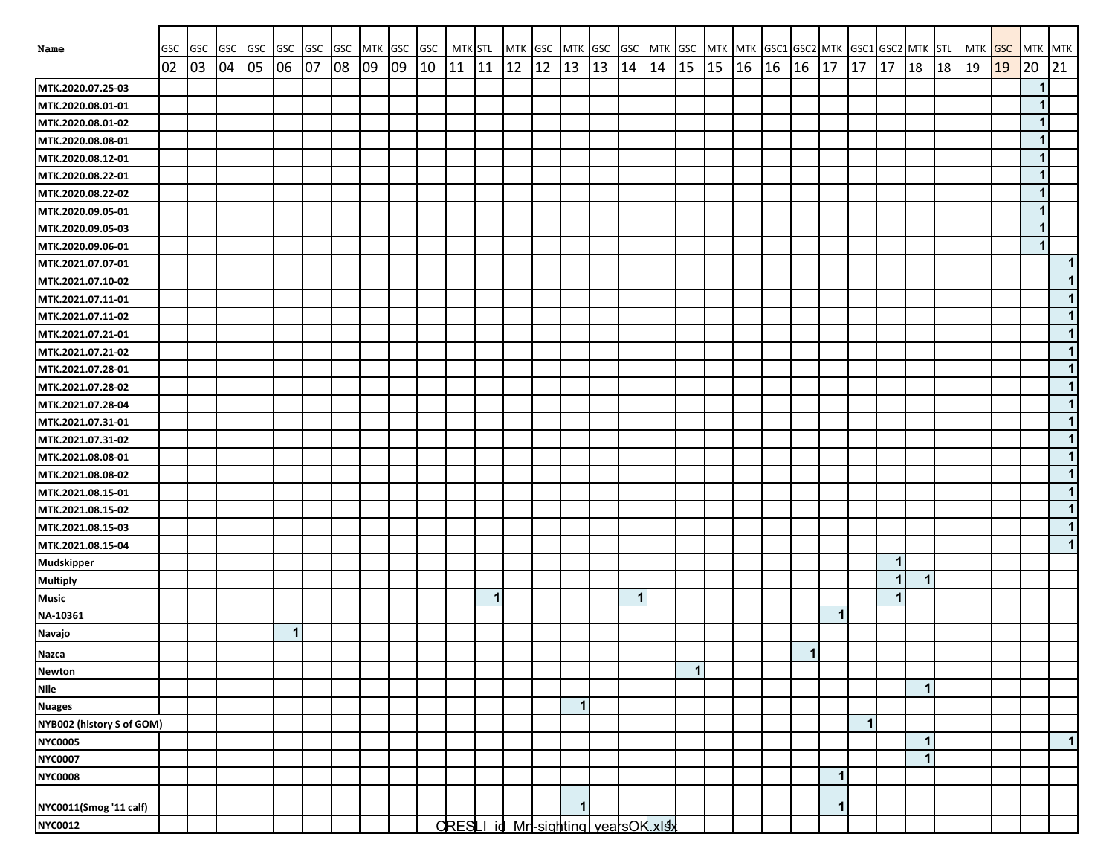| Name                      | GSC | GSC GSC |    | <b>GSC</b> | <b>GSC</b>     | <b>GSC</b> | GSC | MTK GSC |    | <b>GSC</b> | <b>MTK STL</b> |              | MTK GSC                            |    | MTK GSC |    | <b>GSC</b>   |    |              |    |    | MTK GSC MTK MTK GSC1 GSC2 MTK |                      |    |              | GSC1 GSC2 MTK STL    |              |    | MTK GSC |    | MTK MTK      |           |
|---------------------------|-----|---------|----|------------|----------------|------------|-----|---------|----|------------|----------------|--------------|------------------------------------|----|---------|----|--------------|----|--------------|----|----|-------------------------------|----------------------|----|--------------|----------------------|--------------|----|---------|----|--------------|-----------|
|                           | 02  | 03      | 04 | 05         | 06             | 07         | 08  | 09      | 09 | 10         | 11             | 11           | $ 12\rangle$                       | 12 | 13      | 13 | 14           | 14 | 15           | 15 | 16 | 16                            | 16                   | 17 | 17           | 17                   | 18           | 18 | 19      | 19 | 20           | 21        |
| MTK.2020.07.25-03         |     |         |    |            |                |            |     |         |    |            |                |              |                                    |    |         |    |              |    |              |    |    |                               |                      |    |              |                      |              |    |         |    | $\mathbf 1$  |           |
| MTK.2020.08.01-01         |     |         |    |            |                |            |     |         |    |            |                |              |                                    |    |         |    |              |    |              |    |    |                               |                      |    |              |                      |              |    |         |    | $\mathbf 1$  |           |
| MTK.2020.08.01-02         |     |         |    |            |                |            |     |         |    |            |                |              |                                    |    |         |    |              |    |              |    |    |                               |                      |    |              |                      |              |    |         |    | $\mathbf{1}$ |           |
| MTK.2020.08.08-01         |     |         |    |            |                |            |     |         |    |            |                |              |                                    |    |         |    |              |    |              |    |    |                               |                      |    |              |                      |              |    |         |    | $\mathbf 1$  |           |
| MTK.2020.08.12-01         |     |         |    |            |                |            |     |         |    |            |                |              |                                    |    |         |    |              |    |              |    |    |                               |                      |    |              |                      |              |    |         |    | $\mathbf 1$  |           |
| MTK.2020.08.22-01         |     |         |    |            |                |            |     |         |    |            |                |              |                                    |    |         |    |              |    |              |    |    |                               |                      |    |              |                      |              |    |         |    | $\mathbf{1}$ |           |
| MTK.2020.08.22-02         |     |         |    |            |                |            |     |         |    |            |                |              |                                    |    |         |    |              |    |              |    |    |                               |                      |    |              |                      |              |    |         |    | $\mathbf{1}$ |           |
| MTK.2020.09.05-01         |     |         |    |            |                |            |     |         |    |            |                |              |                                    |    |         |    |              |    |              |    |    |                               |                      |    |              |                      |              |    |         |    | $\mathbf 1$  |           |
| MTK.2020.09.05-03         |     |         |    |            |                |            |     |         |    |            |                |              |                                    |    |         |    |              |    |              |    |    |                               |                      |    |              |                      |              |    |         |    | $\mathbf 1$  |           |
| MTK.2020.09.06-01         |     |         |    |            |                |            |     |         |    |            |                |              |                                    |    |         |    |              |    |              |    |    |                               |                      |    |              |                      |              |    |         |    | $\mathbf{1}$ |           |
| MTK.2021.07.07-01         |     |         |    |            |                |            |     |         |    |            |                |              |                                    |    |         |    |              |    |              |    |    |                               |                      |    |              |                      |              |    |         |    |              | $\vert$ 1 |
| MTK.2021.07.10-02         |     |         |    |            |                |            |     |         |    |            |                |              |                                    |    |         |    |              |    |              |    |    |                               |                      |    |              |                      |              |    |         |    |              | $\vert$ 1 |
| MTK.2021.07.11-01         |     |         |    |            |                |            |     |         |    |            |                |              |                                    |    |         |    |              |    |              |    |    |                               |                      |    |              |                      |              |    |         |    |              | 1         |
| MTK.2021.07.11-02         |     |         |    |            |                |            |     |         |    |            |                |              |                                    |    |         |    |              |    |              |    |    |                               |                      |    |              |                      |              |    |         |    |              | $\vert$ 1 |
| MTK.2021.07.21-01         |     |         |    |            |                |            |     |         |    |            |                |              |                                    |    |         |    |              |    |              |    |    |                               |                      |    |              |                      |              |    |         |    |              | $\vert$ 1 |
| MTK.2021.07.21-02         |     |         |    |            |                |            |     |         |    |            |                |              |                                    |    |         |    |              |    |              |    |    |                               |                      |    |              |                      |              |    |         |    |              | $\vert$ 1 |
| MTK.2021.07.28-01         |     |         |    |            |                |            |     |         |    |            |                |              |                                    |    |         |    |              |    |              |    |    |                               |                      |    |              |                      |              |    |         |    |              | $\vert$ 1 |
| MTK.2021.07.28-02         |     |         |    |            |                |            |     |         |    |            |                |              |                                    |    |         |    |              |    |              |    |    |                               |                      |    |              |                      |              |    |         |    |              | $\vert$ 1 |
| MTK.2021.07.28-04         |     |         |    |            |                |            |     |         |    |            |                |              |                                    |    |         |    |              |    |              |    |    |                               |                      |    |              |                      |              |    |         |    |              | $\vert$ 1 |
| MTK.2021.07.31-01         |     |         |    |            |                |            |     |         |    |            |                |              |                                    |    |         |    |              |    |              |    |    |                               |                      |    |              |                      |              |    |         |    |              | $\vert$ 1 |
| MTK.2021.07.31-02         |     |         |    |            |                |            |     |         |    |            |                |              |                                    |    |         |    |              |    |              |    |    |                               |                      |    |              |                      |              |    |         |    |              | $\vert$ 1 |
| MTK.2021.08.08-01         |     |         |    |            |                |            |     |         |    |            |                |              |                                    |    |         |    |              |    |              |    |    |                               |                      |    |              |                      |              |    |         |    |              | $\vert$ 1 |
| MTK.2021.08.08-02         |     |         |    |            |                |            |     |         |    |            |                |              |                                    |    |         |    |              |    |              |    |    |                               |                      |    |              |                      |              |    |         |    |              | $\vert$ 1 |
| MTK.2021.08.15-01         |     |         |    |            |                |            |     |         |    |            |                |              |                                    |    |         |    |              |    |              |    |    |                               |                      |    |              |                      |              |    |         |    |              | $\vert$   |
| MTK.2021.08.15-02         |     |         |    |            |                |            |     |         |    |            |                |              |                                    |    |         |    |              |    |              |    |    |                               |                      |    |              |                      |              |    |         |    |              | $\vert$   |
| MTK.2021.08.15-03         |     |         |    |            |                |            |     |         |    |            |                |              |                                    |    |         |    |              |    |              |    |    |                               |                      |    |              |                      |              |    |         |    |              | $\vert$ 1 |
| MTK.2021.08.15-04         |     |         |    |            |                |            |     |         |    |            |                |              |                                    |    |         |    |              |    |              |    |    |                               |                      |    |              |                      |              |    |         |    |              | $\vert$ 1 |
| <b>Mudskipper</b>         |     |         |    |            |                |            |     |         |    |            |                |              |                                    |    |         |    |              |    |              |    |    |                               |                      |    |              | 1                    |              |    |         |    |              |           |
| <b>Multiply</b>           |     |         |    |            |                |            |     |         |    |            |                |              |                                    |    |         |    |              |    |              |    |    |                               |                      |    |              | $\mathbf 1$          | $\mathbf{1}$ |    |         |    |              |           |
| <b>Music</b>              |     |         |    |            |                |            |     |         |    |            |                | $\mathbf{1}$ |                                    |    |         |    | $\mathbf{1}$ |    |              |    |    |                               |                      |    |              | $\blacktriangleleft$ |              |    |         |    |              |           |
| NA-10361                  |     |         |    |            |                |            |     |         |    |            |                |              |                                    |    |         |    |              |    |              |    |    |                               |                      | 1  |              |                      |              |    |         |    |              |           |
| <b>Navajo</b>             |     |         |    |            | $\overline{1}$ |            |     |         |    |            |                |              |                                    |    |         |    |              |    |              |    |    |                               |                      |    |              |                      |              |    |         |    |              |           |
| <b>Nazca</b>              |     |         |    |            |                |            |     |         |    |            |                |              |                                    |    |         |    |              |    |              |    |    |                               | $\blacktriangleleft$ |    |              |                      |              |    |         |    |              |           |
| <b>Newton</b>             |     |         |    |            |                |            |     |         |    |            |                |              |                                    |    |         |    |              |    | $\mathbf{1}$ |    |    |                               |                      |    |              |                      |              |    |         |    |              |           |
| <b>Nile</b>               |     |         |    |            |                |            |     |         |    |            |                |              |                                    |    |         |    |              |    |              |    |    |                               |                      |    |              |                      | $\mathbf{1}$ |    |         |    |              |           |
| <b>Nuages</b>             |     |         |    |            |                |            |     |         |    |            |                |              |                                    |    | 1       |    |              |    |              |    |    |                               |                      |    |              |                      |              |    |         |    |              |           |
| NYB002 (history S of GOM) |     |         |    |            |                |            |     |         |    |            |                |              |                                    |    |         |    |              |    |              |    |    |                               |                      |    | $\mathbf{1}$ |                      |              |    |         |    |              |           |
| <b>NYC0005</b>            |     |         |    |            |                |            |     |         |    |            |                |              |                                    |    |         |    |              |    |              |    |    |                               |                      |    |              |                      | $\mathbf{1}$ |    |         |    |              | $\vert$ 1 |
| <b>NYC0007</b>            |     |         |    |            |                |            |     |         |    |            |                |              |                                    |    |         |    |              |    |              |    |    |                               |                      |    |              |                      | $\mathbf{1}$ |    |         |    |              |           |
| <b>NYC0008</b>            |     |         |    |            |                |            |     |         |    |            |                |              |                                    |    |         |    |              |    |              |    |    |                               |                      | 1  |              |                      |              |    |         |    |              |           |
| NYC0011(Smog '11 calf)    |     |         |    |            |                |            |     |         |    |            |                |              |                                    |    | 1       |    |              |    |              |    |    |                               |                      | 1  |              |                      |              |    |         |    |              |           |
| <b>NYC0012</b>            |     |         |    |            |                |            |     |         |    |            |                |              | CRESLI id Mn-sighting vearsOK.xlsx |    |         |    |              |    |              |    |    |                               |                      |    |              |                      |              |    |         |    |              |           |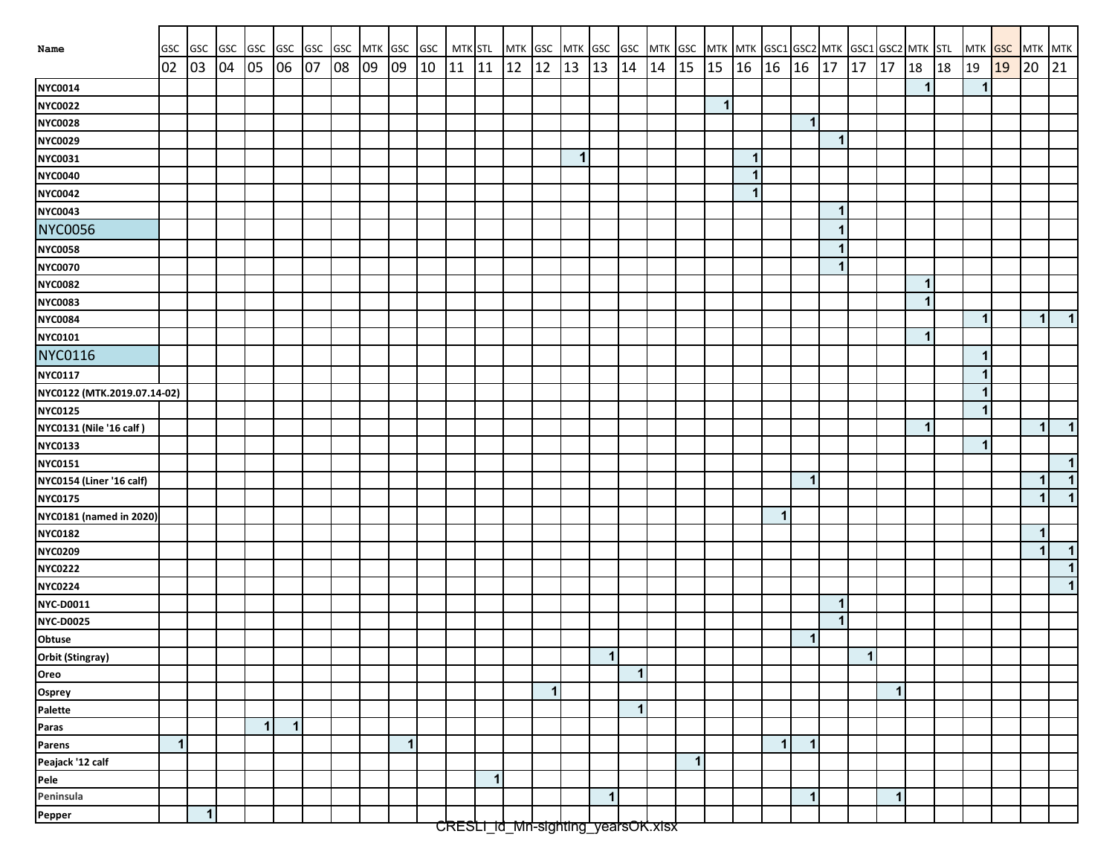| Name                           | <b>GSC</b>  | GSC GSC GSC |          |              |              | GSC GSC GSC |    |    |              | MTK GSC GSC  | MTK STL   |              | MTK GSC |                                    | MTK GSC      |                |                      |    | GSC MTK GSC MTK MTK GSC1 GSC2 MTK GSC1 GSC2 MTK STL |              |       |              |             |                         |                      |              |             |    |              |    | MTK GSC MTK MTK      |              |
|--------------------------------|-------------|-------------|----------|--------------|--------------|-------------|----|----|--------------|--------------|-----------|--------------|---------|------------------------------------|--------------|----------------|----------------------|----|-----------------------------------------------------|--------------|-------|--------------|-------------|-------------------------|----------------------|--------------|-------------|----|--------------|----|----------------------|--------------|
|                                | 02          | 03          | 04 05 06 |              |              | 07          | 08 | 09 | 09           | $ 10\rangle$ | $11 \ 11$ |              | 12      | 12                                 | 13           | 13             | 14                   | 14 | 15                                                  | $\vert$ 15   | 16 16 |              | 16          | 17                      | 17                   | 17           | 18          | 18 | 19           | 19 | 20                   | 21           |
| <b>NYC0014</b>                 |             |             |          |              |              |             |    |    |              |              |           |              |         |                                    |              |                |                      |    |                                                     |              |       |              |             |                         |                      |              |             |    | 1            |    |                      |              |
| <b>NYC0022</b>                 |             |             |          |              |              |             |    |    |              |              |           |              |         |                                    |              |                |                      |    |                                                     | $\mathbf{1}$ |       |              |             |                         |                      |              |             |    |              |    |                      |              |
| <b>NYC0028</b>                 |             |             |          |              |              |             |    |    |              |              |           |              |         |                                    |              |                |                      |    |                                                     |              |       |              | $\mathbf 1$ |                         |                      |              |             |    |              |    |                      |              |
| <b>NYC0029</b>                 |             |             |          |              |              |             |    |    |              |              |           |              |         |                                    |              |                |                      |    |                                                     |              |       |              |             | $\overline{\mathbf{1}}$ |                      |              |             |    |              |    |                      |              |
| <b>NYC0031</b>                 |             |             |          |              |              |             |    |    |              |              |           |              |         |                                    | $\mathbf{1}$ |                |                      |    |                                                     |              | 1     |              |             |                         |                      |              |             |    |              |    |                      |              |
| <b>NYC0040</b>                 |             |             |          |              |              |             |    |    |              |              |           |              |         |                                    |              |                |                      |    |                                                     |              | 1     |              |             |                         |                      |              |             |    |              |    |                      |              |
| <b>NYC0042</b>                 |             |             |          |              |              |             |    |    |              |              |           |              |         |                                    |              |                |                      |    |                                                     |              | 1     |              |             |                         |                      |              |             |    |              |    |                      |              |
| <b>NYC0043</b>                 |             |             |          |              |              |             |    |    |              |              |           |              |         |                                    |              |                |                      |    |                                                     |              |       |              |             | 1                       |                      |              |             |    |              |    |                      |              |
| <b>NYC0056</b>                 |             |             |          |              |              |             |    |    |              |              |           |              |         |                                    |              |                |                      |    |                                                     |              |       |              |             |                         |                      |              |             |    |              |    |                      |              |
| <b>NYC0058</b>                 |             |             |          |              |              |             |    |    |              |              |           |              |         |                                    |              |                |                      |    |                                                     |              |       |              |             | 1                       |                      |              |             |    |              |    |                      |              |
| <b>NYC0070</b>                 |             |             |          |              |              |             |    |    |              |              |           |              |         |                                    |              |                |                      |    |                                                     |              |       |              |             | $\mathbf{1}$            |                      |              |             |    |              |    |                      |              |
| <b>NYC0082</b>                 |             |             |          |              |              |             |    |    |              |              |           |              |         |                                    |              |                |                      |    |                                                     |              |       |              |             |                         |                      |              | $\mathbf 1$ |    |              |    |                      |              |
| <b>NYC0083</b>                 |             |             |          |              |              |             |    |    |              |              |           |              |         |                                    |              |                |                      |    |                                                     |              |       |              |             |                         |                      |              | $\mathbf 1$ |    |              |    |                      |              |
| <b>NYC0084</b>                 |             |             |          |              |              |             |    |    |              |              |           |              |         |                                    |              |                |                      |    |                                                     |              |       |              |             |                         |                      |              |             |    | $\mathbf{1}$ |    | $\mathbf{1}$         | $\mathbf{1}$ |
| NYC0101                        |             |             |          |              |              |             |    |    |              |              |           |              |         |                                    |              |                |                      |    |                                                     |              |       |              |             |                         |                      |              | 1           |    |              |    |                      |              |
| <b>NYC0116</b>                 |             |             |          |              |              |             |    |    |              |              |           |              |         |                                    |              |                |                      |    |                                                     |              |       |              |             |                         |                      |              |             |    | 1            |    |                      |              |
| <b>NYC0117</b>                 |             |             |          |              |              |             |    |    |              |              |           |              |         |                                    |              |                |                      |    |                                                     |              |       |              |             |                         |                      |              |             |    | 1            |    |                      |              |
| NYC0122 (MTK.2019.07.14-02)    |             |             |          |              |              |             |    |    |              |              |           |              |         |                                    |              |                |                      |    |                                                     |              |       |              |             |                         |                      |              |             |    | 1            |    |                      |              |
| <b>NYC0125</b>                 |             |             |          |              |              |             |    |    |              |              |           |              |         |                                    |              |                |                      |    |                                                     |              |       |              |             |                         |                      |              |             |    | 1            |    |                      |              |
| NYC0131 (Nile '16 calf)        |             |             |          |              |              |             |    |    |              |              |           |              |         |                                    |              |                |                      |    |                                                     |              |       |              |             |                         |                      |              | 1           |    |              |    | $\blacktriangleleft$ | $\mathbf{1}$ |
| <b>NYC0133</b>                 |             |             |          |              |              |             |    |    |              |              |           |              |         |                                    |              |                |                      |    |                                                     |              |       |              |             |                         |                      |              |             |    | 1            |    |                      |              |
| <b>NYC0151</b>                 |             |             |          |              |              |             |    |    |              |              |           |              |         |                                    |              |                |                      |    |                                                     |              |       |              |             |                         |                      |              |             |    |              |    |                      | $\mathbf{1}$ |
| NYC0154 (Liner '16 calf)       |             |             |          |              |              |             |    |    |              |              |           |              |         |                                    |              |                |                      |    |                                                     |              |       |              | $\mathbf 1$ |                         |                      |              |             |    |              |    | $\mathbf 1$          | $\mathbf{1}$ |
| <b>NYC0175</b>                 |             |             |          |              |              |             |    |    |              |              |           |              |         |                                    |              |                |                      |    |                                                     |              |       |              |             |                         |                      |              |             |    |              |    | 1                    | $\mathbf{1}$ |
| <b>NYC0181 (named in 2020)</b> |             |             |          |              |              |             |    |    |              |              |           |              |         |                                    |              |                |                      |    |                                                     |              |       | $\mathbf{1}$ |             |                         |                      |              |             |    |              |    |                      |              |
| <b>NYC0182</b>                 |             |             |          |              |              |             |    |    |              |              |           |              |         |                                    |              |                |                      |    |                                                     |              |       |              |             |                         |                      |              |             |    |              |    | $\blacktriangleleft$ |              |
| <b>NYC0209</b>                 |             |             |          |              |              |             |    |    |              |              |           |              |         |                                    |              |                |                      |    |                                                     |              |       |              |             |                         |                      |              |             |    |              |    | $\mathbf{1}$         | $\mathbf{1}$ |
| <b>NYC0222</b>                 |             |             |          |              |              |             |    |    |              |              |           |              |         |                                    |              |                |                      |    |                                                     |              |       |              |             |                         |                      |              |             |    |              |    |                      | $\mathbf{1}$ |
| <b>NYC0224</b>                 |             |             |          |              |              |             |    |    |              |              |           |              |         |                                    |              |                |                      |    |                                                     |              |       |              |             |                         |                      |              |             |    |              |    |                      | $\mathbf{1}$ |
| <b>NYC-D0011</b>               |             |             |          |              |              |             |    |    |              |              |           |              |         |                                    |              |                |                      |    |                                                     |              |       |              |             | 1                       |                      |              |             |    |              |    |                      |              |
| <b>NYC-D0025</b>               |             |             |          |              |              |             |    |    |              |              |           |              |         |                                    |              |                |                      |    |                                                     |              |       |              |             | $\mathbf{1}$            |                      |              |             |    |              |    |                      |              |
| Obtuse                         |             |             |          |              |              |             |    |    |              |              |           |              |         |                                    |              |                |                      |    |                                                     |              |       |              | -1          |                         |                      |              |             |    |              |    |                      |              |
| Orbit (Stingray)               |             |             |          |              |              |             |    |    |              |              |           |              |         |                                    |              | $\overline{1}$ |                      |    |                                                     |              |       |              |             |                         | $\blacktriangleleft$ |              |             |    |              |    |                      |              |
| Oreo                           |             |             |          |              |              |             |    |    |              |              |           |              |         |                                    |              |                | $\blacktriangleleft$ |    |                                                     |              |       |              |             |                         |                      |              |             |    |              |    |                      |              |
| Osprey<br>Palette              |             |             |          |              |              |             |    |    |              |              |           |              |         | $\mathbf{1}$                       |              |                |                      |    |                                                     |              |       |              |             |                         |                      | $\mathbf{1}$ |             |    |              |    |                      |              |
|                                |             |             |          |              |              |             |    |    |              |              |           |              |         |                                    |              |                | $\mathbf{1}$         |    |                                                     |              |       |              |             |                         |                      |              |             |    |              |    |                      |              |
| Paras                          |             |             |          | $\mathbf{1}$ | $\mathbf{1}$ |             |    |    |              |              |           |              |         |                                    |              |                |                      |    |                                                     |              |       |              |             |                         |                      |              |             |    |              |    |                      |              |
| <b>Parens</b>                  | $\mathbf 1$ |             |          |              |              |             |    |    | $\mathbf{1}$ |              |           |              |         |                                    |              |                |                      |    |                                                     |              |       | $\mathbf{1}$ | -1          |                         |                      |              |             |    |              |    |                      |              |
| Peajack '12 calf               |             |             |          |              |              |             |    |    |              |              |           |              |         |                                    |              |                |                      |    | $\mathbf 1$                                         |              |       |              |             |                         |                      |              |             |    |              |    |                      |              |
| Pele                           |             |             |          |              |              |             |    |    |              |              |           | $\mathbf{1}$ |         |                                    |              |                |                      |    |                                                     |              |       |              |             |                         |                      |              |             |    |              |    |                      |              |
| Peninsula                      |             |             |          |              |              |             |    |    |              |              |           |              |         |                                    |              | 1              |                      |    |                                                     |              |       |              | -1          |                         |                      | $\mathbf{1}$ |             |    |              |    |                      |              |
| Pepper                         |             | $\vert$ 1   |          |              |              |             |    |    |              |              |           |              |         | CRESH Id Mo slabijna vestsOK visv. |              |                |                      |    |                                                     |              |       |              |             |                         |                      |              |             |    |              |    |                      |              |

CRESLI\_id\_Mn-sighting\_yearsOK.xlsx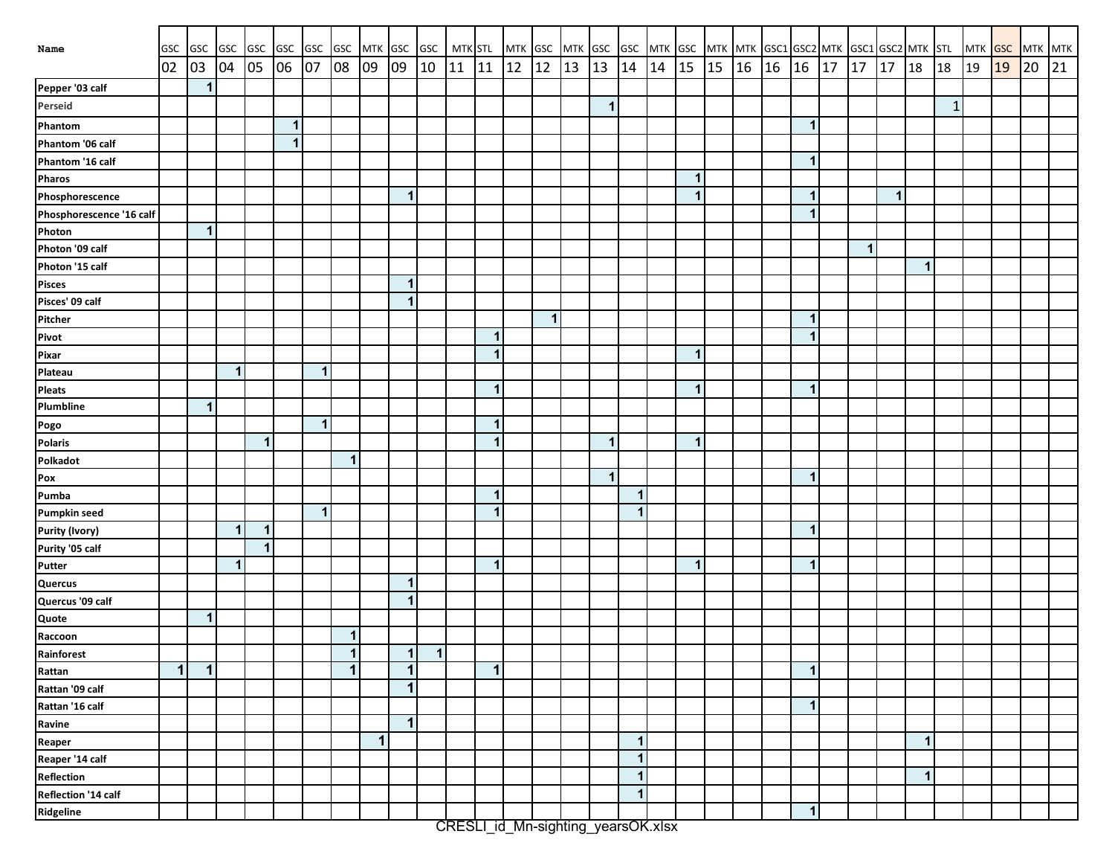| Name                     | GSC         | GSC GSC      |              | <b>GSC</b>   | <b>GSC</b>     | GSC                     | GSC |    | MTK GSC GSC          |           | MTK STL |              | MTK GSC MTK GSC |              |    |              |                      |    |              | GSC MTK GSC MTK MTK GSC1 GSC2 MTK GSC1 GSC2 MTK STL |    |    |                         |    |              |   |              |              | MTK GSC |    | MTK MTK |    |
|--------------------------|-------------|--------------|--------------|--------------|----------------|-------------------------|-----|----|----------------------|-----------|---------|--------------|-----------------|--------------|----|--------------|----------------------|----|--------------|-----------------------------------------------------|----|----|-------------------------|----|--------------|---|--------------|--------------|---------|----|---------|----|
|                          | 02          | 03           | 04           | 05           | 06             | 07                      | 08  | 09 | 09                   | 10        | 11      | 11           | 12              | 12           | 13 | 13           | 14                   | 14 | 15           | 15                                                  | 16 | 16 | 16                      | 17 | $17 \mid 17$ |   | 18           | 18           | 19      | 19 | 20      | 21 |
| Pepper '03 calf          |             | $\mathbf{1}$ |              |              |                |                         |     |    |                      |           |         |              |                 |              |    |              |                      |    |              |                                                     |    |    |                         |    |              |   |              |              |         |    |         |    |
| Perseid                  |             |              |              |              |                |                         |     |    |                      |           |         |              |                 |              |    | 1            |                      |    |              |                                                     |    |    |                         |    |              |   |              | $\mathbf{1}$ |         |    |         |    |
| Phantom                  |             |              |              |              | $\overline{1}$ |                         |     |    |                      |           |         |              |                 |              |    |              |                      |    |              |                                                     |    |    | $\overline{1}$          |    |              |   |              |              |         |    |         |    |
| Phantom '06 calf         |             |              |              |              | $\overline{1}$ |                         |     |    |                      |           |         |              |                 |              |    |              |                      |    |              |                                                     |    |    |                         |    |              |   |              |              |         |    |         |    |
| Phantom '16 calf         |             |              |              |              |                |                         |     |    |                      |           |         |              |                 |              |    |              |                      |    |              |                                                     |    |    | -1                      |    |              |   |              |              |         |    |         |    |
| Pharos                   |             |              |              |              |                |                         |     |    |                      |           |         |              |                 |              |    |              |                      |    | 1            |                                                     |    |    |                         |    |              |   |              |              |         |    |         |    |
| Phosphorescence          |             |              |              |              |                |                         |     |    | 1                    |           |         |              |                 |              |    |              |                      |    | $\mathbf{1}$ |                                                     |    |    | -1                      |    |              | 1 |              |              |         |    |         |    |
| Phosphorescence '16 calf |             |              |              |              |                |                         |     |    |                      |           |         |              |                 |              |    |              |                      |    |              |                                                     |    |    | 1                       |    |              |   |              |              |         |    |         |    |
| Photon                   |             | $\mathbf{1}$ |              |              |                |                         |     |    |                      |           |         |              |                 |              |    |              |                      |    |              |                                                     |    |    |                         |    |              |   |              |              |         |    |         |    |
| Photon '09 calf          |             |              |              |              |                |                         |     |    |                      |           |         |              |                 |              |    |              |                      |    |              |                                                     |    |    |                         |    | 1            |   |              |              |         |    |         |    |
| Photon '15 calf          |             |              |              |              |                |                         |     |    |                      |           |         |              |                 |              |    |              |                      |    |              |                                                     |    |    |                         |    |              |   | $\mathbf{1}$ |              |         |    |         |    |
| <b>Pisces</b>            |             |              |              |              |                |                         |     |    | 1                    |           |         |              |                 |              |    |              |                      |    |              |                                                     |    |    |                         |    |              |   |              |              |         |    |         |    |
| Pisces' 09 calf          |             |              |              |              |                |                         |     |    | 1                    |           |         |              |                 |              |    |              |                      |    |              |                                                     |    |    |                         |    |              |   |              |              |         |    |         |    |
| Pitcher                  |             |              |              |              |                |                         |     |    |                      |           |         |              |                 | $\mathbf{1}$ |    |              |                      |    |              |                                                     |    |    | $\overline{1}$          |    |              |   |              |              |         |    |         |    |
| Pivot                    |             |              |              |              |                |                         |     |    |                      |           |         | $\mathbf{1}$ |                 |              |    |              |                      |    |              |                                                     |    |    | $\overline{1}$          |    |              |   |              |              |         |    |         |    |
| Pixar                    |             |              |              |              |                |                         |     |    |                      |           |         | $\mathbf{1}$ |                 |              |    |              |                      |    | $\mathbf{1}$ |                                                     |    |    |                         |    |              |   |              |              |         |    |         |    |
| Plateau                  |             |              | $\mathbf{1}$ |              |                | $\mathbf{1}$            |     |    |                      |           |         |              |                 |              |    |              |                      |    |              |                                                     |    |    |                         |    |              |   |              |              |         |    |         |    |
| <b>Pleats</b>            |             |              |              |              |                |                         |     |    |                      |           |         | $\mathbf{1}$ |                 |              |    |              |                      |    | $\mathbf{1}$ |                                                     |    |    | $\mathbf 1$             |    |              |   |              |              |         |    |         |    |
| Plumbline                |             | 1            |              |              |                |                         |     |    |                      |           |         |              |                 |              |    |              |                      |    |              |                                                     |    |    |                         |    |              |   |              |              |         |    |         |    |
| Pogo                     |             |              |              |              |                | $\mathbf{1}$            |     |    |                      |           |         | $\mathbf{1}$ |                 |              |    |              |                      |    |              |                                                     |    |    |                         |    |              |   |              |              |         |    |         |    |
| <b>Polaris</b>           |             |              |              | $\mathbf{1}$ |                |                         |     |    |                      |           |         | $\mathbf{1}$ |                 |              |    | 1            |                      |    | $\mathbf{1}$ |                                                     |    |    |                         |    |              |   |              |              |         |    |         |    |
| Polkadot                 |             |              |              |              |                |                         | 1   |    |                      |           |         |              |                 |              |    |              |                      |    |              |                                                     |    |    |                         |    |              |   |              |              |         |    |         |    |
| Pox                      |             |              |              |              |                |                         |     |    |                      |           |         |              |                 |              |    | $\mathbf{1}$ |                      |    |              |                                                     |    |    | $\mathbf 1$             |    |              |   |              |              |         |    |         |    |
| Pumba                    |             |              |              |              |                |                         |     |    |                      |           |         | $\mathbf{1}$ |                 |              |    |              | $\mathbf{1}$         |    |              |                                                     |    |    |                         |    |              |   |              |              |         |    |         |    |
| Pumpkin seed             |             |              |              |              |                | $\overline{\mathbf{1}}$ |     |    |                      |           |         | $\mathbf{1}$ |                 |              |    |              | $\blacktriangleleft$ |    |              |                                                     |    |    |                         |    |              |   |              |              |         |    |         |    |
| Purity (Ivory)           |             |              | $\mathbf{1}$ | $\mathbf{1}$ |                |                         |     |    |                      |           |         |              |                 |              |    |              |                      |    |              |                                                     |    |    | $\overline{\mathbf{1}}$ |    |              |   |              |              |         |    |         |    |
| Purity '05 calf          |             |              |              | $\mathbf{1}$ |                |                         |     |    |                      |           |         |              |                 |              |    |              |                      |    |              |                                                     |    |    |                         |    |              |   |              |              |         |    |         |    |
| Putter                   |             |              | 1            |              |                |                         |     |    |                      |           |         | $\mathbf{1}$ |                 |              |    |              |                      |    | $\mathbf{1}$ |                                                     |    |    | $\mathbf 1$             |    |              |   |              |              |         |    |         |    |
| Quercus                  |             |              |              |              |                |                         |     |    | $\blacktriangleleft$ |           |         |              |                 |              |    |              |                      |    |              |                                                     |    |    |                         |    |              |   |              |              |         |    |         |    |
| Quercus '09 calf         |             |              |              |              |                |                         |     |    | $\mathbf 1$          |           |         |              |                 |              |    |              |                      |    |              |                                                     |    |    |                         |    |              |   |              |              |         |    |         |    |
| Quote                    |             | $\mathbf 1$  |              |              |                |                         |     |    |                      |           |         |              |                 |              |    |              |                      |    |              |                                                     |    |    |                         |    |              |   |              |              |         |    |         |    |
| Raccoon                  |             |              |              |              |                |                         | 1   |    |                      |           |         |              |                 |              |    |              |                      |    |              |                                                     |    |    |                         |    |              |   |              |              |         |    |         |    |
| Rainforest               |             |              |              |              |                |                         | 1   |    | 1 <sup>1</sup>       | $\vert$ 1 |         |              |                 |              |    |              |                      |    |              |                                                     |    |    |                         |    |              |   |              |              |         |    |         |    |
| Rattan                   | $\mathbf 1$ | $\mathbf{1}$ |              |              |                |                         | 1   |    | $\blacktriangleleft$ |           |         | $\mathbf{1}$ |                 |              |    |              |                      |    |              |                                                     |    |    | $\overline{1}$          |    |              |   |              |              |         |    |         |    |
| Rattan '09 calf          |             |              |              |              |                |                         |     |    | $\mathbf{1}$         |           |         |              |                 |              |    |              |                      |    |              |                                                     |    |    |                         |    |              |   |              |              |         |    |         |    |
| Rattan '16 calf          |             |              |              |              |                |                         |     |    |                      |           |         |              |                 |              |    |              |                      |    |              |                                                     |    |    | $\mathbf 1$             |    |              |   |              |              |         |    |         |    |
| Ravine                   |             |              |              |              |                |                         |     |    | 1                    |           |         |              |                 |              |    |              |                      |    |              |                                                     |    |    |                         |    |              |   |              |              |         |    |         |    |
| Reaper                   |             |              |              |              |                |                         |     | 1  |                      |           |         |              |                 |              |    |              | $\mathbf{1}$         |    |              |                                                     |    |    |                         |    |              |   | $\mathbf{1}$ |              |         |    |         |    |
| Reaper '14 calf          |             |              |              |              |                |                         |     |    |                      |           |         |              |                 |              |    |              | $\mathbf{1}$         |    |              |                                                     |    |    |                         |    |              |   |              |              |         |    |         |    |
| Reflection               |             |              |              |              |                |                         |     |    |                      |           |         |              |                 |              |    |              | $\mathbf{1}$         |    |              |                                                     |    |    |                         |    |              |   | $\mathbf{1}$ |              |         |    |         |    |
| Reflection '14 calf      |             |              |              |              |                |                         |     |    |                      |           |         |              |                 |              |    |              | $\mathbf{1}$         |    |              |                                                     |    |    |                         |    |              |   |              |              |         |    |         |    |
| Ridgeline                |             |              |              |              |                |                         |     |    |                      |           |         |              |                 |              |    |              |                      |    |              |                                                     |    |    | $\mathbf 1$             |    |              |   |              |              |         |    |         |    |

CRESLI\_id\_Mn-sighting\_yearsOK.xlsx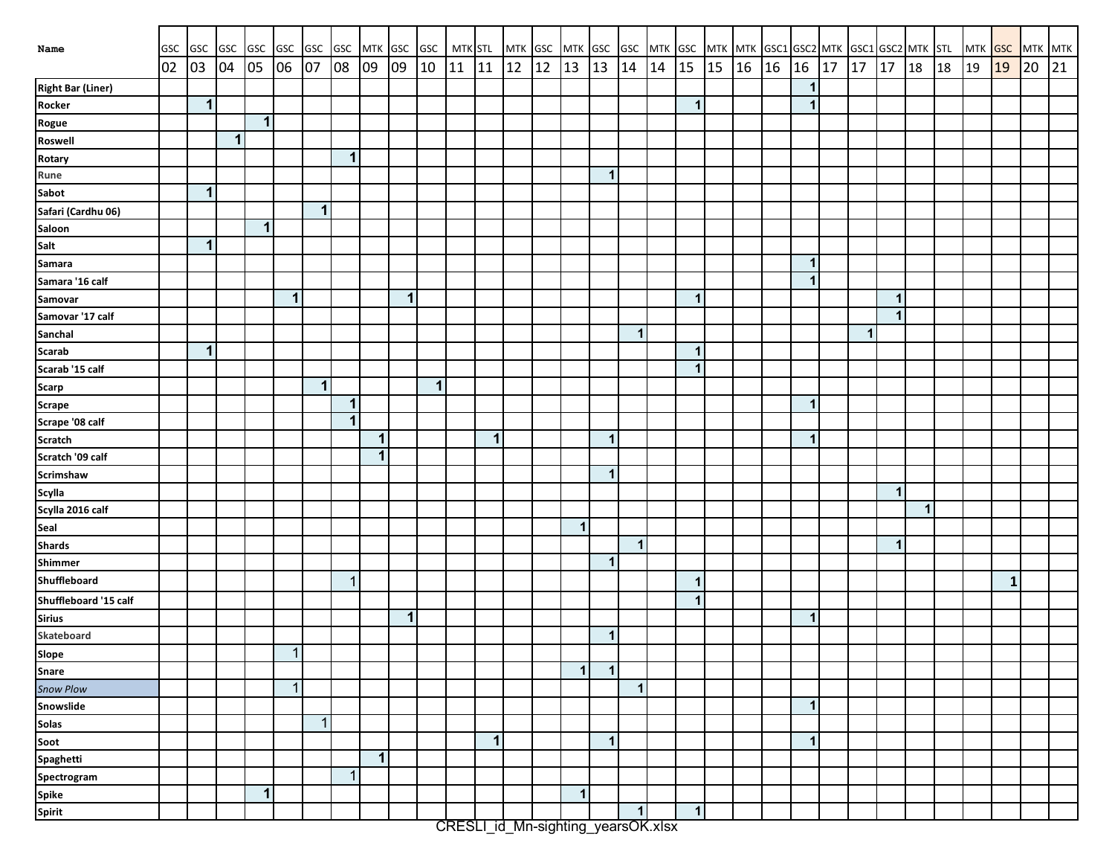| Name                                                          | GSC |             |              |              |              |                | GSC GSC GSC GSC GSC GSC MTK GSC GSC MTK STL |              |              |                      |       |              | MTK GSC |    |                         |                         |              |                      |                              |  |              |    |    |              |   |    | MTK GSC GSC MTK GSC MTK MTK GSC1 GSC1 GSC2 MTK GSC1 GSC2 MTK STL MTK GSC MTK MTK |             |    |    |
|---------------------------------------------------------------|-----|-------------|--------------|--------------|--------------|----------------|---------------------------------------------|--------------|--------------|----------------------|-------|--------------|---------|----|-------------------------|-------------------------|--------------|----------------------|------------------------------|--|--------------|----|----|--------------|---|----|----------------------------------------------------------------------------------|-------------|----|----|
|                                                               | 02  | 03          |              | 04 05 06     |              | 07             | 08                                          | 09           | 09           | $ 10\rangle$         | 11 11 |              | 12      | 12 | 13                      | 13                      | $14 \mid 14$ | $\vert$ 15           | $15 \mid 16 \mid 16 \mid 16$ |  |              | 17 | 17 | $17 \mid 18$ |   | 18 | $ 19\rangle$                                                                     | 19          | 20 | 21 |
| <b>Right Bar (Liner)</b>                                      |     |             |              |              |              |                |                                             |              |              |                      |       |              |         |    |                         |                         |              |                      |                              |  | $\mathbf 1$  |    |    |              |   |    |                                                                                  |             |    |    |
| Rocker                                                        |     | $\mathbf 1$ |              |              |              |                |                                             |              |              |                      |       |              |         |    |                         |                         |              | $\mathbf{1}$         |                              |  | $\mathbf 1$  |    |    |              |   |    |                                                                                  |             |    |    |
| Rogue                                                         |     |             |              | $\mathbf{1}$ |              |                |                                             |              |              |                      |       |              |         |    |                         |                         |              |                      |                              |  |              |    |    |              |   |    |                                                                                  |             |    |    |
| Roswell                                                       |     |             | $\mathbf{1}$ |              |              |                |                                             |              |              |                      |       |              |         |    |                         |                         |              |                      |                              |  |              |    |    |              |   |    |                                                                                  |             |    |    |
| Rotary                                                        |     |             |              |              |              |                | $\mathbf 1$                                 |              |              |                      |       |              |         |    |                         |                         |              |                      |                              |  |              |    |    |              |   |    |                                                                                  |             |    |    |
| Rune                                                          |     |             |              |              |              |                |                                             |              |              |                      |       |              |         |    |                         | $\mathbf{1}$            |              |                      |                              |  |              |    |    |              |   |    |                                                                                  |             |    |    |
| Sabot                                                         |     | $\mathbf 1$ |              |              |              |                |                                             |              |              |                      |       |              |         |    |                         |                         |              |                      |                              |  |              |    |    |              |   |    |                                                                                  |             |    |    |
| Safari (Cardhu 06)                                            |     |             |              |              |              | $\mathbf 1$    |                                             |              |              |                      |       |              |         |    |                         |                         |              |                      |                              |  |              |    |    |              |   |    |                                                                                  |             |    |    |
| Saloon                                                        |     |             |              | $\mathbf{1}$ |              |                |                                             |              |              |                      |       |              |         |    |                         |                         |              |                      |                              |  |              |    |    |              |   |    |                                                                                  |             |    |    |
| Salt                                                          |     | 1           |              |              |              |                |                                             |              |              |                      |       |              |         |    |                         |                         |              |                      |                              |  |              |    |    |              |   |    |                                                                                  |             |    |    |
| Samara                                                        |     |             |              |              |              |                |                                             |              |              |                      |       |              |         |    |                         |                         |              |                      |                              |  | <b>F</b>     |    |    |              |   |    |                                                                                  |             |    |    |
| Samara '16 calf                                               |     |             |              |              |              |                |                                             |              |              |                      |       |              |         |    |                         |                         |              |                      |                              |  | 1            |    |    |              |   |    |                                                                                  |             |    |    |
| Samovar                                                       |     |             |              |              | $\mathbf{1}$ |                |                                             |              | $\mathbf{1}$ |                      |       |              |         |    |                         |                         |              | $\mathbf{1}$         |                              |  |              |    |    | $\mathbf{1}$ |   |    |                                                                                  |             |    |    |
| Samovar '17 calf                                              |     |             |              |              |              |                |                                             |              |              |                      |       |              |         |    |                         |                         |              |                      |                              |  |              |    |    | $\mathbf{1}$ |   |    |                                                                                  |             |    |    |
| Sanchal                                                       |     |             |              |              |              |                |                                             |              |              |                      |       |              |         |    |                         |                         | $\mathbf{1}$ |                      |                              |  |              |    | 1  |              |   |    |                                                                                  |             |    |    |
| Scarab                                                        |     | 1           |              |              |              |                |                                             |              |              |                      |       |              |         |    |                         |                         |              | $\mathbf{1}$         |                              |  |              |    |    |              |   |    |                                                                                  |             |    |    |
| Scarab '15 calf                                               |     |             |              |              |              |                |                                             |              |              |                      |       |              |         |    |                         |                         |              | $\blacktriangleleft$ |                              |  |              |    |    |              |   |    |                                                                                  |             |    |    |
| <b>Scarp</b>                                                  |     |             |              |              |              | $\mathbf{1}$   |                                             |              |              | $\blacktriangleleft$ |       |              |         |    |                         |                         |              |                      |                              |  |              |    |    |              |   |    |                                                                                  |             |    |    |
| <b>Scrape</b>                                                 |     |             |              |              |              |                | $\mathbf{1}$                                |              |              |                      |       |              |         |    |                         |                         |              |                      |                              |  | $\mathbf 1$  |    |    |              |   |    |                                                                                  |             |    |    |
| Scrape '08 calf                                               |     |             |              |              |              |                | $\mathbf{1}$                                |              |              |                      |       |              |         |    |                         |                         |              |                      |                              |  |              |    |    |              |   |    |                                                                                  |             |    |    |
| <b>Scratch</b>                                                |     |             |              |              |              |                |                                             | $\mathbf{1}$ |              |                      |       | 1            |         |    |                         | 1                       |              |                      |                              |  | $\mathbf 1$  |    |    |              |   |    |                                                                                  |             |    |    |
| Scratch '09 calf                                              |     |             |              |              |              |                |                                             | 1            |              |                      |       |              |         |    |                         |                         |              |                      |                              |  |              |    |    |              |   |    |                                                                                  |             |    |    |
| Scrimshaw                                                     |     |             |              |              |              |                |                                             |              |              |                      |       |              |         |    |                         | 1                       |              |                      |                              |  |              |    |    |              |   |    |                                                                                  |             |    |    |
| Scylla                                                        |     |             |              |              |              |                |                                             |              |              |                      |       |              |         |    |                         |                         |              |                      |                              |  |              |    |    | $\mathbf{1}$ |   |    |                                                                                  |             |    |    |
| Scylla 2016 calf                                              |     |             |              |              |              |                |                                             |              |              |                      |       |              |         |    |                         |                         |              |                      |                              |  |              |    |    |              | 1 |    |                                                                                  |             |    |    |
| Seal                                                          |     |             |              |              |              |                |                                             |              |              |                      |       |              |         |    | $\mathbf{1}$            |                         |              |                      |                              |  |              |    |    |              |   |    |                                                                                  |             |    |    |
| <b>Shards</b>                                                 |     |             |              |              |              |                |                                             |              |              |                      |       |              |         |    |                         |                         | $\mathbf{1}$ |                      |                              |  |              |    |    | $\mathbf{1}$ |   |    |                                                                                  |             |    |    |
| Shimmer                                                       |     |             |              |              |              |                |                                             |              |              |                      |       |              |         |    |                         | $\overline{1}$          |              |                      |                              |  |              |    |    |              |   |    |                                                                                  |             |    |    |
| Shuffleboard                                                  |     |             |              |              |              |                | $\mathbf{1}$                                |              |              |                      |       |              |         |    |                         |                         |              | $\mathbf{1}$         |                              |  |              |    |    |              |   |    |                                                                                  | $\mathbf 1$ |    |    |
| Shuffleboard '15 calf                                         |     |             |              |              |              |                |                                             |              |              |                      |       |              |         |    |                         |                         |              | $\mathbf{1}$         |                              |  |              |    |    |              |   |    |                                                                                  |             |    |    |
| <b>Sirius</b>                                                 |     |             |              |              |              |                |                                             |              | $\mathbf 1$  |                      |       |              |         |    |                         |                         |              |                      |                              |  | -1           |    |    |              |   |    |                                                                                  |             |    |    |
| Skateboard                                                    |     |             |              |              |              |                |                                             |              |              |                      |       |              |         |    |                         | $\overline{\mathbf{1}}$ |              |                      |                              |  |              |    |    |              |   |    |                                                                                  |             |    |    |
| Slope<br>Snare<br>Snow Plow                                   |     |             |              |              | $\mathbf{1}$ |                |                                             |              |              |                      |       |              |         |    |                         |                         |              |                      |                              |  |              |    |    |              |   |    |                                                                                  |             |    |    |
|                                                               |     |             |              |              |              |                |                                             |              |              |                      |       |              |         |    | $\mathbf{1}$            | $\mathbf 1$             |              |                      |                              |  |              |    |    |              |   |    |                                                                                  |             |    |    |
|                                                               |     |             |              |              | $\mathbf{1}$ |                |                                             |              |              |                      |       |              |         |    |                         |                         | $\mathbf{1}$ |                      |                              |  |              |    |    |              |   |    |                                                                                  |             |    |    |
| Snowslide                                                     |     |             |              |              |              |                |                                             |              |              |                      |       |              |         |    |                         |                         |              |                      |                              |  | $\mathbf 1$  |    |    |              |   |    |                                                                                  |             |    |    |
| Solas<br>Solas<br>Spaghetti<br>Spectrogram<br>Spike<br>Spirit |     |             |              |              |              | $\overline{1}$ |                                             |              |              |                      |       |              |         |    |                         |                         |              |                      |                              |  |              |    |    |              |   |    |                                                                                  |             |    |    |
|                                                               |     |             |              |              |              |                |                                             |              |              |                      |       | $\mathbf{1}$ |         |    |                         | $\mathbf{1}$            |              |                      |                              |  | $\mathbf{1}$ |    |    |              |   |    |                                                                                  |             |    |    |
|                                                               |     |             |              |              |              |                |                                             | $\mathbf{1}$ |              |                      |       |              |         |    |                         |                         |              |                      |                              |  |              |    |    |              |   |    |                                                                                  |             |    |    |
|                                                               |     |             |              |              |              |                | $\mathbf{1}$                                |              |              |                      |       |              |         |    |                         |                         |              |                      |                              |  |              |    |    |              |   |    |                                                                                  |             |    |    |
|                                                               |     |             |              | $\mathbf 1$  |              |                |                                             |              |              |                      |       |              |         |    | $\overline{\mathbf{1}}$ |                         |              |                      |                              |  |              |    |    |              |   |    |                                                                                  |             |    |    |
|                                                               |     |             |              |              |              |                |                                             |              |              |                      |       |              |         |    |                         |                         | $\mathbf{1}$ | $\mathbf{1}$         |                              |  |              |    |    |              |   |    |                                                                                  |             |    |    |

CRESLI\_id\_Mn-sighting\_yearsOK.xlsx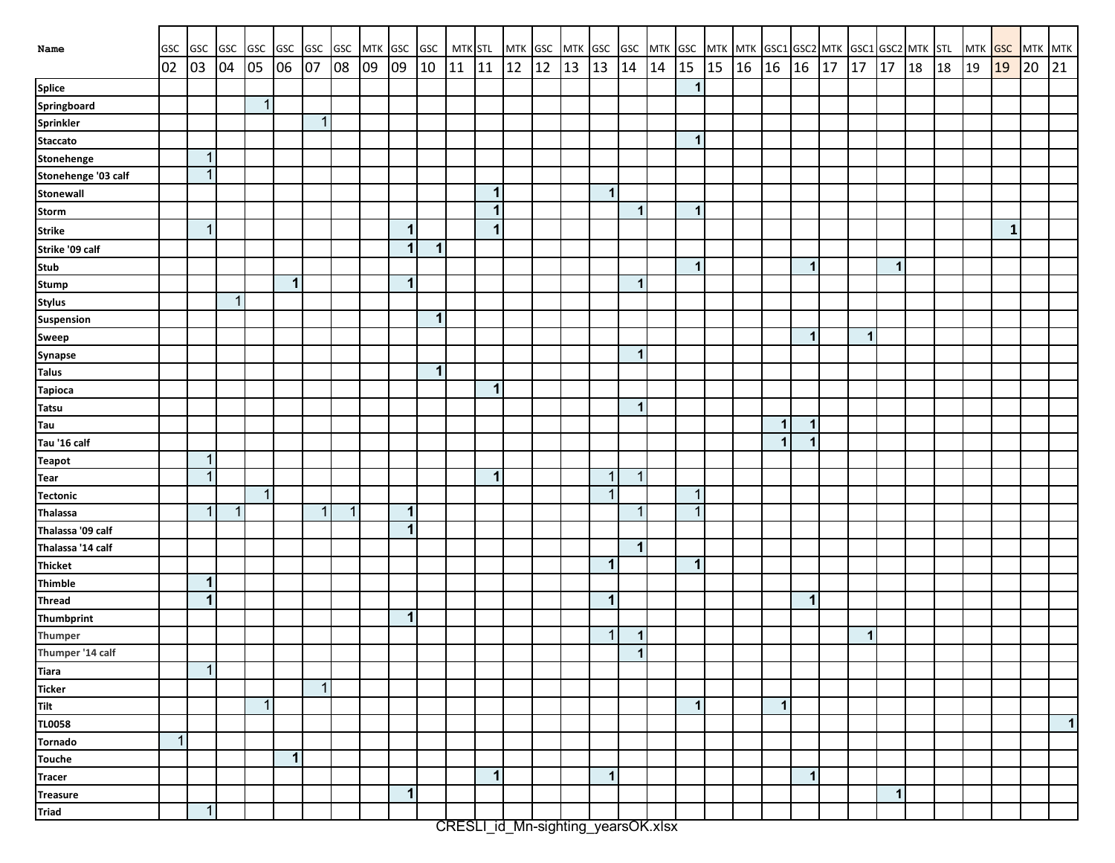| Name                | GSC            | GSC GSC GSC  |             |              | GSC GSC      |                | <b>GSC</b>  | MTK GSC GSC |                      |                      | MTK STL |              | MTK GSC |    | MTK GSC |                |                      |    |              | GSC MTK GSC MTK MTK GSC1 GSC2 MTK GSC1 GSC2 MTK STL |       |              |              |    |             |              |    | MTK GSC |             | MTK MTK |              |
|---------------------|----------------|--------------|-------------|--------------|--------------|----------------|-------------|-------------|----------------------|----------------------|---------|--------------|---------|----|---------|----------------|----------------------|----|--------------|-----------------------------------------------------|-------|--------------|--------------|----|-------------|--------------|----|---------|-------------|---------|--------------|
|                     | 02             | 03           | 04          | 05           | 06           | 07             | 08          | 09          | 09                   | $ 10\rangle$         | 11 11   |              | 12      | 12 | 13      | 13             | 14                   | 14 | $\vert$ 15   | $\vert$ 15                                          | 16 16 |              | 16           | 17 | 17          | 17 18        | 18 | 19      | 19          | 20      | 21           |
| <b>Splice</b>       |                |              |             |              |              |                |             |             |                      |                      |         |              |         |    |         |                |                      |    | $\mathbf{1}$ |                                                     |       |              |              |    |             |              |    |         |             |         |              |
| Springboard         |                |              |             | $\mathbf{1}$ |              |                |             |             |                      |                      |         |              |         |    |         |                |                      |    |              |                                                     |       |              |              |    |             |              |    |         |             |         |              |
| Sprinkler           |                |              |             |              |              | $\mathbf{1}$   |             |             |                      |                      |         |              |         |    |         |                |                      |    |              |                                                     |       |              |              |    |             |              |    |         |             |         |              |
| <b>Staccato</b>     |                |              |             |              |              |                |             |             |                      |                      |         |              |         |    |         |                |                      |    | $\mathbf{1}$ |                                                     |       |              |              |    |             |              |    |         |             |         |              |
| Stonehenge          |                | $\mathbf{1}$ |             |              |              |                |             |             |                      |                      |         |              |         |    |         |                |                      |    |              |                                                     |       |              |              |    |             |              |    |         |             |         |              |
| Stonehenge '03 calf |                | $\mathbf{1}$ |             |              |              |                |             |             |                      |                      |         |              |         |    |         |                |                      |    |              |                                                     |       |              |              |    |             |              |    |         |             |         |              |
| Stonewall           |                |              |             |              |              |                |             |             |                      |                      |         | 1            |         |    |         | $\mathbf 1$    |                      |    |              |                                                     |       |              |              |    |             |              |    |         |             |         |              |
| <b>Storm</b>        |                |              |             |              |              |                |             |             |                      |                      |         | $\mathbf{1}$ |         |    |         |                | $\blacktriangleleft$ |    | $\mathbf{1}$ |                                                     |       |              |              |    |             |              |    |         |             |         |              |
| <b>Strike</b>       |                | $\mathbf{1}$ |             |              |              |                |             |             | $\vert$              |                      |         | 1            |         |    |         |                |                      |    |              |                                                     |       |              |              |    |             |              |    |         | $\mathbf 1$ |         |              |
| Strike '09 calf     |                |              |             |              |              |                |             |             | $\vert$              | $\mathbf 1$          |         |              |         |    |         |                |                      |    |              |                                                     |       |              |              |    |             |              |    |         |             |         |              |
| <b>Stub</b>         |                |              |             |              |              |                |             |             |                      |                      |         |              |         |    |         |                |                      |    | $\mathbf{1}$ |                                                     |       |              | $\mathbf{1}$ |    |             | $\mathbf{1}$ |    |         |             |         |              |
| Stump               |                |              |             |              | $\mathbf{1}$ |                |             |             | $\mathbf{1}$         |                      |         |              |         |    |         |                | $\mathbf 1$          |    |              |                                                     |       |              |              |    |             |              |    |         |             |         |              |
| <b>Stylus</b>       |                |              | $\mathbf 1$ |              |              |                |             |             |                      |                      |         |              |         |    |         |                |                      |    |              |                                                     |       |              |              |    |             |              |    |         |             |         |              |
| Suspension          |                |              |             |              |              |                |             |             |                      | $\blacktriangleleft$ |         |              |         |    |         |                |                      |    |              |                                                     |       |              |              |    |             |              |    |         |             |         |              |
| Sweep               |                |              |             |              |              |                |             |             |                      |                      |         |              |         |    |         |                |                      |    |              |                                                     |       |              | $\mathbf 1$  |    | $\mathbf 1$ |              |    |         |             |         |              |
| Synapse             |                |              |             |              |              |                |             |             |                      |                      |         |              |         |    |         |                | $\mathbf 1$          |    |              |                                                     |       |              |              |    |             |              |    |         |             |         |              |
| <b>Talus</b>        |                |              |             |              |              |                |             |             |                      | $\mathbf 1$          |         |              |         |    |         |                |                      |    |              |                                                     |       |              |              |    |             |              |    |         |             |         |              |
| <b>Tapioca</b>      |                |              |             |              |              |                |             |             |                      |                      |         | $\mathbf 1$  |         |    |         |                |                      |    |              |                                                     |       |              |              |    |             |              |    |         |             |         |              |
| <b>Tatsu</b>        |                |              |             |              |              |                |             |             |                      |                      |         |              |         |    |         |                | $\mathbf 1$          |    |              |                                                     |       |              |              |    |             |              |    |         |             |         |              |
| Tau                 |                |              |             |              |              |                |             |             |                      |                      |         |              |         |    |         |                |                      |    |              |                                                     |       | $\mathbf 1$  | $\mathbf 1$  |    |             |              |    |         |             |         |              |
| Tau '16 calf        |                |              |             |              |              |                |             |             |                      |                      |         |              |         |    |         |                |                      |    |              |                                                     |       | $\mathbf 1$  | -1           |    |             |              |    |         |             |         |              |
| <b>Teapot</b>       |                | $\mathbf{1}$ |             |              |              |                |             |             |                      |                      |         |              |         |    |         |                |                      |    |              |                                                     |       |              |              |    |             |              |    |         |             |         |              |
| Tear                |                | $\mathbf{1}$ |             |              |              |                |             |             |                      |                      |         | $\mathbf 1$  |         |    |         | $\overline{1}$ | $\mathbf{1}$         |    |              |                                                     |       |              |              |    |             |              |    |         |             |         |              |
| <b>Tectonic</b>     |                |              |             | $\mathbf{1}$ |              |                |             |             |                      |                      |         |              |         |    |         | 1              |                      |    | 1            |                                                     |       |              |              |    |             |              |    |         |             |         |              |
| <b>Thalassa</b>     |                | $\mathbf{1}$ | $\mathbf 1$ |              |              | $\overline{1}$ | $\mathbf 1$ |             | $\blacktriangleleft$ |                      |         |              |         |    |         |                | 1                    |    | $\mathbf{1}$ |                                                     |       |              |              |    |             |              |    |         |             |         |              |
| Thalassa '09 calf   |                |              |             |              |              |                |             |             | 1                    |                      |         |              |         |    |         |                |                      |    |              |                                                     |       |              |              |    |             |              |    |         |             |         |              |
| Thalassa '14 calf   |                |              |             |              |              |                |             |             |                      |                      |         |              |         |    |         |                | $\mathbf 1$          |    |              |                                                     |       |              |              |    |             |              |    |         |             |         |              |
| <b>Thicket</b>      |                |              |             |              |              |                |             |             |                      |                      |         |              |         |    |         | 1              |                      |    | $\mathbf{1}$ |                                                     |       |              |              |    |             |              |    |         |             |         |              |
| <b>Thimble</b>      |                | $\mathbf{1}$ |             |              |              |                |             |             |                      |                      |         |              |         |    |         |                |                      |    |              |                                                     |       |              |              |    |             |              |    |         |             |         |              |
| <b>Thread</b>       |                | $\mathbf 1$  |             |              |              |                |             |             |                      |                      |         |              |         |    |         | $\mathbf 1$    |                      |    |              |                                                     |       |              | $\mathbf 1$  |    |             |              |    |         |             |         |              |
| <b>Thumbprint</b>   |                |              |             |              |              |                |             |             | $\mathbf 1$          |                      |         |              |         |    |         |                |                      |    |              |                                                     |       |              |              |    |             |              |    |         |             |         |              |
| <b>Thumper</b>      |                |              |             |              |              |                |             |             |                      |                      |         |              |         |    |         | 1              | $\mathbf 1$          |    |              |                                                     |       |              |              |    | 1           |              |    |         |             |         |              |
| Thumper '14 calf    |                |              |             |              |              |                |             |             |                      |                      |         |              |         |    |         |                | $\mathbf{1}$         |    |              |                                                     |       |              |              |    |             |              |    |         |             |         |              |
| <b>Tiara</b>        |                | $\mathbf{1}$ |             |              |              |                |             |             |                      |                      |         |              |         |    |         |                |                      |    |              |                                                     |       |              |              |    |             |              |    |         |             |         |              |
| <b>Ticker</b>       |                |              |             |              |              | $\mathbf{1}$   |             |             |                      |                      |         |              |         |    |         |                |                      |    |              |                                                     |       |              |              |    |             |              |    |         |             |         |              |
| Tilt                |                |              |             | $\mathbf{1}$ |              |                |             |             |                      |                      |         |              |         |    |         |                |                      |    | $\mathbf{1}$ |                                                     |       | $\mathbf{1}$ |              |    |             |              |    |         |             |         |              |
| <b>TL0058</b>       |                |              |             |              |              |                |             |             |                      |                      |         |              |         |    |         |                |                      |    |              |                                                     |       |              |              |    |             |              |    |         |             |         | $\mathbf{1}$ |
| <b>Tornado</b>      | $\overline{1}$ |              |             |              |              |                |             |             |                      |                      |         |              |         |    |         |                |                      |    |              |                                                     |       |              |              |    |             |              |    |         |             |         |              |
| <b>Touche</b>       |                |              |             |              | $\mathbf 1$  |                |             |             |                      |                      |         |              |         |    |         |                |                      |    |              |                                                     |       |              |              |    |             |              |    |         |             |         |              |
| <b>Tracer</b>       |                |              |             |              |              |                |             |             |                      |                      |         | $\mathbf 1$  |         |    |         | $\mathbf{1}$   |                      |    |              |                                                     |       |              | $\mathbf 1$  |    |             |              |    |         |             |         |              |
|                     |                |              |             |              |              |                |             |             | $\mathbf{1}$         |                      |         |              |         |    |         |                |                      |    |              |                                                     |       |              |              |    |             | $\mathbf{1}$ |    |         |             |         |              |
| Treasure<br>Triad   |                | $\mathbf{1}$ |             |              |              |                |             |             |                      |                      |         |              |         |    |         |                |                      |    |              |                                                     |       |              |              |    |             |              |    |         |             |         |              |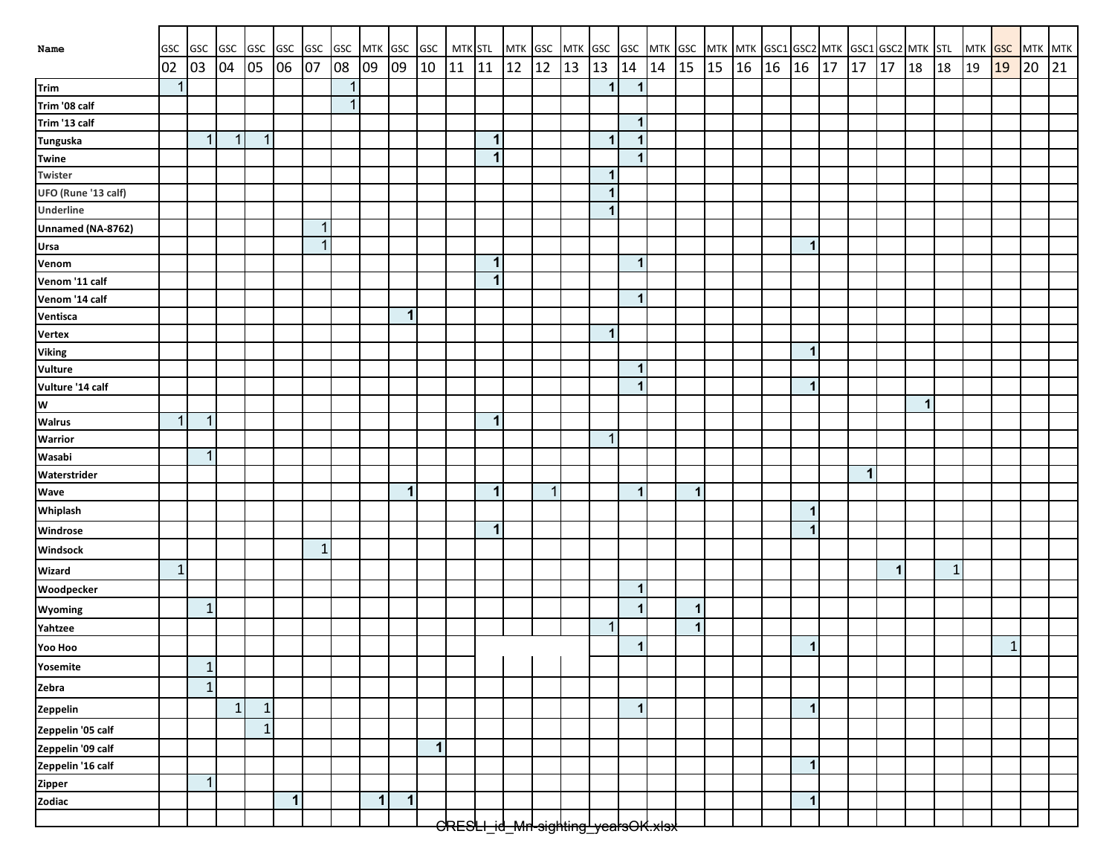| Name                | GSC          | GSC GSC GSC GSC GSC GSC |              |              |              |             |    | MTK GSC GSC MTK STL |              |              |       |              |    | MTK GSC MTK GSC                                |    |                |              |    |             |                      |  |                         |    |    | GSC MTK GSC MTK MTK GSC1 GSC2 MTK GSC1 GSC2 MTK STL MTK GSC MTK MTK |              |              |    |             |    |    |
|---------------------|--------------|-------------------------|--------------|--------------|--------------|-------------|----|---------------------|--------------|--------------|-------|--------------|----|------------------------------------------------|----|----------------|--------------|----|-------------|----------------------|--|-------------------------|----|----|---------------------------------------------------------------------|--------------|--------------|----|-------------|----|----|
|                     | 02           | 03                      | 04 05        |              | 06           | 07          | 08 | 09                  | 09           | 10           | 11 11 |              | 12 | <b>12</b>                                      | 13 | 13             | 14           | 14 | 15          | $15 \mid 16 \mid 16$ |  | 16                      | 17 | 17 | $\vert$ 17                                                          | 18           | 18           | 19 | 19          | 20 | 21 |
| Trim                | $\mathbf 1$  |                         |              |              |              |             | 1  |                     |              |              |       |              |    |                                                |    | $\mathbf 1$    | $\mathbf{1}$ |    |             |                      |  |                         |    |    |                                                                     |              |              |    |             |    |    |
| Trim '08 calf       |              |                         |              |              |              |             | 1  |                     |              |              |       |              |    |                                                |    |                |              |    |             |                      |  |                         |    |    |                                                                     |              |              |    |             |    |    |
| Trim '13 calf       |              |                         |              |              |              |             |    |                     |              |              |       |              |    |                                                |    |                | $\mathbf{1}$ |    |             |                      |  |                         |    |    |                                                                     |              |              |    |             |    |    |
| <b>Tunguska</b>     |              | $\mathbf{1}$            | $\mathbf{1}$ | $\mathbf{1}$ |              |             |    |                     |              |              |       | 1            |    |                                                |    | $\mathbf{1}$   | $\mathbf 1$  |    |             |                      |  |                         |    |    |                                                                     |              |              |    |             |    |    |
| <b>Twine</b>        |              |                         |              |              |              |             |    |                     |              |              |       | 1            |    |                                                |    |                | $\mathbf{1}$ |    |             |                      |  |                         |    |    |                                                                     |              |              |    |             |    |    |
| Twister             |              |                         |              |              |              |             |    |                     |              |              |       |              |    |                                                |    | $\mathbf{1}$   |              |    |             |                      |  |                         |    |    |                                                                     |              |              |    |             |    |    |
| UFO (Rune '13 calf) |              |                         |              |              |              |             |    |                     |              |              |       |              |    |                                                |    | 1              |              |    |             |                      |  |                         |    |    |                                                                     |              |              |    |             |    |    |
| Underline           |              |                         |              |              |              |             |    |                     |              |              |       |              |    |                                                |    | 1              |              |    |             |                      |  |                         |    |    |                                                                     |              |              |    |             |    |    |
| Unnamed (NA-8762)   |              |                         |              |              |              | $\mathbf 1$ |    |                     |              |              |       |              |    |                                                |    |                |              |    |             |                      |  |                         |    |    |                                                                     |              |              |    |             |    |    |
| Ursa                |              |                         |              |              |              | $\mathbf 1$ |    |                     |              |              |       |              |    |                                                |    |                |              |    |             |                      |  | -1                      |    |    |                                                                     |              |              |    |             |    |    |
| Venom               |              |                         |              |              |              |             |    |                     |              |              |       | 1            |    |                                                |    |                | $\mathbf{1}$ |    |             |                      |  |                         |    |    |                                                                     |              |              |    |             |    |    |
| Venom '11 calf      |              |                         |              |              |              |             |    |                     |              |              |       | $\mathbf{1}$ |    |                                                |    |                |              |    |             |                      |  |                         |    |    |                                                                     |              |              |    |             |    |    |
| Venom '14 calf      |              |                         |              |              |              |             |    |                     |              |              |       |              |    |                                                |    |                | $\mathbf 1$  |    |             |                      |  |                         |    |    |                                                                     |              |              |    |             |    |    |
| Ventisca            |              |                         |              |              |              |             |    |                     | $\vert$      |              |       |              |    |                                                |    |                |              |    |             |                      |  |                         |    |    |                                                                     |              |              |    |             |    |    |
| <b>Vertex</b>       |              |                         |              |              |              |             |    |                     |              |              |       |              |    |                                                |    | $\mathbf 1$    |              |    |             |                      |  |                         |    |    |                                                                     |              |              |    |             |    |    |
| <b>Viking</b>       |              |                         |              |              |              |             |    |                     |              |              |       |              |    |                                                |    |                |              |    |             |                      |  | $\mathbf 1$             |    |    |                                                                     |              |              |    |             |    |    |
| Vulture             |              |                         |              |              |              |             |    |                     |              |              |       |              |    |                                                |    |                | $\mathbf{1}$ |    |             |                      |  |                         |    |    |                                                                     |              |              |    |             |    |    |
| Vulture '14 calf    |              |                         |              |              |              |             |    |                     |              |              |       |              |    |                                                |    |                | $\mathbf{1}$ |    |             |                      |  | $\overline{\mathbf{1}}$ |    |    |                                                                     |              |              |    |             |    |    |
| W                   |              |                         |              |              |              |             |    |                     |              |              |       |              |    |                                                |    |                |              |    |             |                      |  |                         |    |    |                                                                     | $\mathbf{1}$ |              |    |             |    |    |
| <b>Walrus</b>       | $\mathbf{1}$ | $\mathbf 1$             |              |              |              |             |    |                     |              |              |       | 1            |    |                                                |    |                |              |    |             |                      |  |                         |    |    |                                                                     |              |              |    |             |    |    |
| Warrior             |              |                         |              |              |              |             |    |                     |              |              |       |              |    |                                                |    | $\overline{1}$ |              |    |             |                      |  |                         |    |    |                                                                     |              |              |    |             |    |    |
| Wasabi              |              | $\mathbf{1}$            |              |              |              |             |    |                     |              |              |       |              |    |                                                |    |                |              |    |             |                      |  |                         |    |    |                                                                     |              |              |    |             |    |    |
| Waterstrider        |              |                         |              |              |              |             |    |                     |              |              |       |              |    |                                                |    |                |              |    |             |                      |  |                         |    | 1  |                                                                     |              |              |    |             |    |    |
| Wave                |              |                         |              |              |              |             |    |                     | $\mathbf{1}$ |              |       | $\mathbf 1$  |    | $\mathbf 1$                                    |    |                | $\mathbf{1}$ |    | $\mathbf 1$ |                      |  |                         |    |    |                                                                     |              |              |    |             |    |    |
| Whiplash            |              |                         |              |              |              |             |    |                     |              |              |       |              |    |                                                |    |                |              |    |             |                      |  |                         |    |    |                                                                     |              |              |    |             |    |    |
| Windrose            |              |                         |              |              |              |             |    |                     |              |              |       | $\mathbf{1}$ |    |                                                |    |                |              |    |             |                      |  | $\overline{\mathbf{1}}$ |    |    |                                                                     |              |              |    |             |    |    |
| Windsock            |              |                         |              |              |              | 1           |    |                     |              |              |       |              |    |                                                |    |                |              |    |             |                      |  |                         |    |    |                                                                     |              |              |    |             |    |    |
| Wizard              | $\mathbf{1}$ |                         |              |              |              |             |    |                     |              |              |       |              |    |                                                |    |                |              |    |             |                      |  |                         |    |    | $\mathbf 1$                                                         |              | $\mathbf{1}$ |    |             |    |    |
| Woodpecker          |              |                         |              |              |              |             |    |                     |              |              |       |              |    |                                                |    |                | $\mathbf{1}$ |    |             |                      |  |                         |    |    |                                                                     |              |              |    |             |    |    |
| Wyoming             |              | $\mathbf 1$             |              |              |              |             |    |                     |              |              |       |              |    |                                                |    |                | 1            |    | 1           |                      |  |                         |    |    |                                                                     |              |              |    |             |    |    |
| Yahtzee             |              |                         |              |              |              |             |    |                     |              |              |       |              |    |                                                |    | 1              |              |    | $\mathbf 1$ |                      |  |                         |    |    |                                                                     |              |              |    |             |    |    |
| Yoo Hoo             |              |                         |              |              |              |             |    |                     |              |              |       |              |    |                                                |    |                | $\mathbf 1$  |    |             |                      |  |                         |    |    |                                                                     |              |              |    | $\mathbf 1$ |    |    |
| Yosemite            |              | $\mathbf{1}$            |              |              |              |             |    |                     |              |              |       |              |    |                                                |    |                |              |    |             |                      |  |                         |    |    |                                                                     |              |              |    |             |    |    |
| Zebra               |              | $\mathbf{1}$            |              |              |              |             |    |                     |              |              |       |              |    |                                                |    |                |              |    |             |                      |  |                         |    |    |                                                                     |              |              |    |             |    |    |
| Zeppelin            |              |                         | $\mathbf{1}$ | $\mathbf 1$  |              |             |    |                     |              |              |       |              |    |                                                |    |                | $\mathbf 1$  |    |             |                      |  | $\overline{\mathbf{1}}$ |    |    |                                                                     |              |              |    |             |    |    |
| Zeppelin '05 calf   |              |                         |              | $\mathbf{1}$ |              |             |    |                     |              |              |       |              |    |                                                |    |                |              |    |             |                      |  |                         |    |    |                                                                     |              |              |    |             |    |    |
| Zeppelin '09 calf   |              |                         |              |              |              |             |    |                     |              | $\mathbf{1}$ |       |              |    |                                                |    |                |              |    |             |                      |  |                         |    |    |                                                                     |              |              |    |             |    |    |
| Zeppelin '16 calf   |              |                         |              |              |              |             |    |                     |              |              |       |              |    |                                                |    |                |              |    |             |                      |  | $\mathbf 1$             |    |    |                                                                     |              |              |    |             |    |    |
| Zipper<br>Zodiac    |              | $\mathbf{1}$            |              |              |              |             |    |                     |              |              |       |              |    |                                                |    |                |              |    |             |                      |  |                         |    |    |                                                                     |              |              |    |             |    |    |
|                     |              |                         |              |              | $\mathbf{1}$ |             |    | $\mathbf{1}$        | $\mathbf{1}$ |              |       |              |    |                                                |    |                |              |    |             |                      |  | $\mathbf{1}$            |    |    |                                                                     |              |              |    |             |    |    |
|                     |              |                         |              |              |              |             |    |                     |              |              |       |              |    | <del>CRESLI_id_Mrl-sighting_yealsOK.xlsx</del> |    |                |              |    |             |                      |  |                         |    |    |                                                                     |              |              |    |             |    |    |